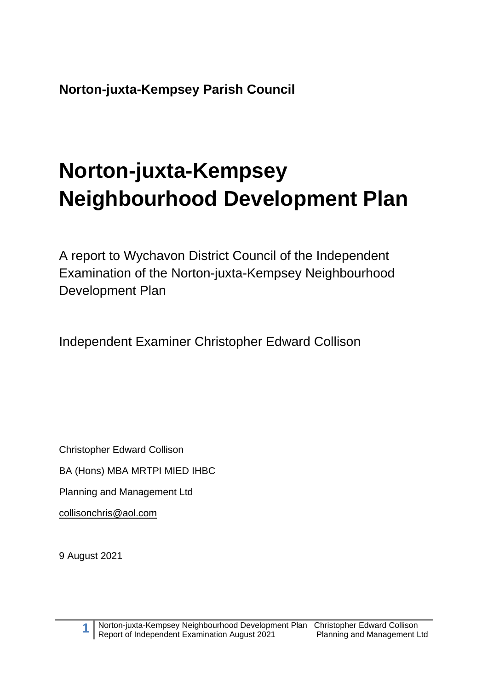**Norton-juxta-Kempsey Parish Council**

# **Norton-juxta-Kempsey Neighbourhood Development Plan**

A report to Wychavon District Council of the Independent Examination of the Norton-juxta-Kempsey Neighbourhood Development Plan

Independent Examiner Christopher Edward Collison

Christopher Edward Collison

BA (Hons) MBA MRTPI MIED IHBC

Planning and Management Ltd

[collisonchris@aol.com](mailto:collisonchris@aol.com)

9 August 2021

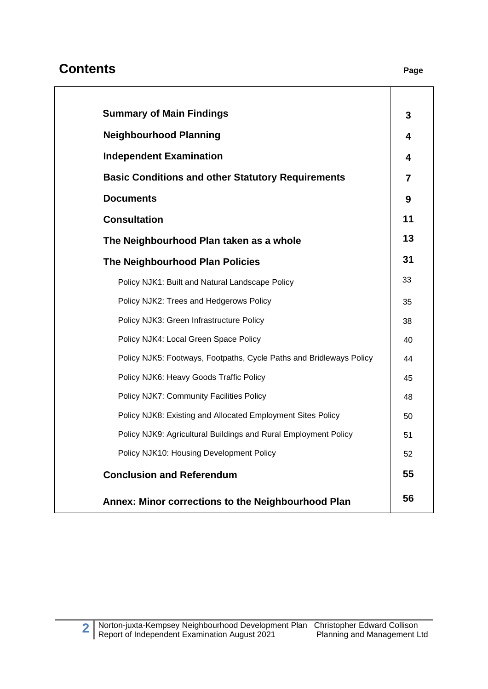# **Contents Page**

| <b>Summary of Main Findings</b>                                     |
|---------------------------------------------------------------------|
| <b>Neighbourhood Planning</b>                                       |
| <b>Independent Examination</b>                                      |
| <b>Basic Conditions and other Statutory Requirements</b>            |
| <b>Documents</b>                                                    |
| <b>Consultation</b>                                                 |
| The Neighbourhood Plan taken as a whole                             |
| <b>The Neighbourhood Plan Policies</b>                              |
| Policy NJK1: Built and Natural Landscape Policy                     |
| Policy NJK2: Trees and Hedgerows Policy                             |
| Policy NJK3: Green Infrastructure Policy                            |
| Policy NJK4: Local Green Space Policy                               |
| Policy NJK5: Footways, Footpaths, Cycle Paths and Bridleways Policy |
| Policy NJK6: Heavy Goods Traffic Policy                             |
| Policy NJK7: Community Facilities Policy                            |
| Policy NJK8: Existing and Allocated Employment Sites Policy         |
| Policy NJK9: Agricultural Buildings and Rural Employment Policy     |
| Policy NJK10: Housing Development Policy                            |
| <b>Conclusion and Referendum</b>                                    |
| Annex: Minor corrections to the Neighbourhood Plan                  |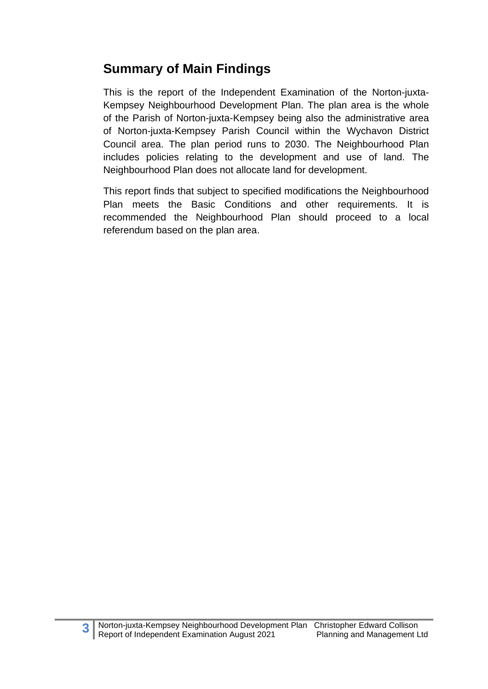# **Summary of Main Findings**

This is the report of the Independent Examination of the Norton-juxta-Kempsey Neighbourhood Development Plan. The plan area is the whole of the Parish of Norton-juxta-Kempsey being also the administrative area of Norton-juxta-Kempsey Parish Council within the Wychavon District Council area. The plan period runs to 2030. The Neighbourhood Plan includes policies relating to the development and use of land. The Neighbourhood Plan does not allocate land for development.

This report finds that subject to specified modifications the Neighbourhood Plan meets the Basic Conditions and other requirements. It is recommended the Neighbourhood Plan should proceed to a local referendum based on the plan area.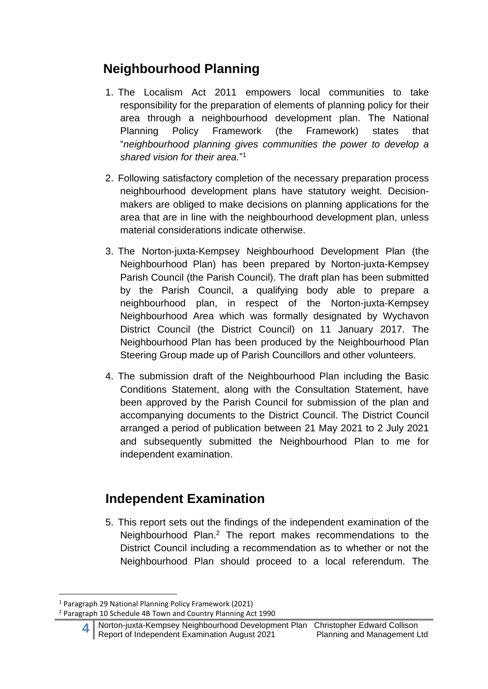# **Neighbourhood Planning**

- 1. The Localism Act 2011 empowers local communities to take responsibility for the preparation of elements of planning policy for their area through a neighbourhood development plan. The National Planning Policy Framework (the Framework) states that "*neighbourhood planning gives communities the power to develop a shared vision for their area.*" 1
- 2. Following satisfactory completion of the necessary preparation process neighbourhood development plans have statutory weight. Decisionmakers are obliged to make decisions on planning applications for the area that are in line with the neighbourhood development plan, unless material considerations indicate otherwise.
- 3. The Norton-juxta-Kempsey Neighbourhood Development Plan (the Neighbourhood Plan) has been prepared by Norton-juxta-Kempsey Parish Council (the Parish Council). The draft plan has been submitted by the Parish Council, a qualifying body able to prepare a neighbourhood plan, in respect of the Norton-juxta-Kempsey Neighbourhood Area which was formally designated by Wychavon District Council (the District Council) on 11 January 2017. The Neighbourhood Plan has been produced by the Neighbourhood Plan Steering Group made up of Parish Councillors and other volunteers.
- 4. The submission draft of the Neighbourhood Plan including the Basic Conditions Statement, along with the Consultation Statement, have been approved by the Parish Council for submission of the plan and accompanying documents to the District Council. The District Council arranged a period of publication between 21 May 2021 to 2 July 2021 and subsequently submitted the Neighbourhood Plan to me for independent examination.

# **Independent Examination**

5. This report sets out the findings of the independent examination of the Neighbourhood Plan. <sup>2</sup> The report makes recommendations to the District Council including a recommendation as to whether or not the Neighbourhood Plan should proceed to a local referendum. The

<sup>1</sup> Paragraph 29 National Planning Policy Framework (2021)

<sup>2</sup> Paragraph 10 Schedule 4B Town and Country Planning Act 1990

**<sup>4</sup>** Norton-juxta-Kempsey Neighbourhood Development Plan Christopher Edward Collison Report of Independent Examination August 2021 Planning and Management Ltd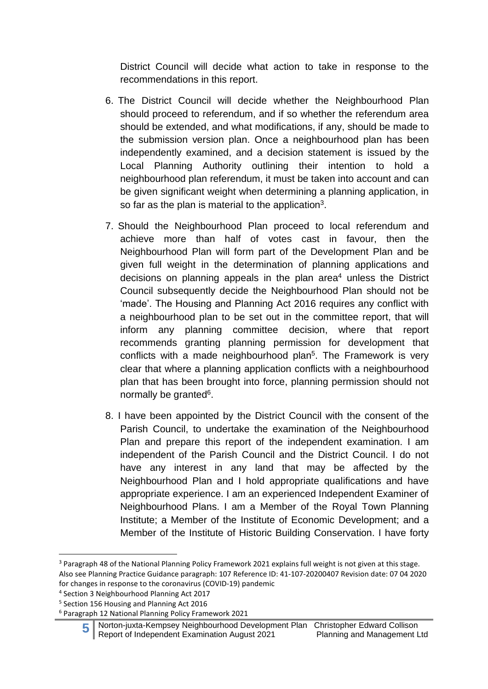District Council will decide what action to take in response to the recommendations in this report.

- 6. The District Council will decide whether the Neighbourhood Plan should proceed to referendum, and if so whether the referendum area should be extended, and what modifications, if any, should be made to the submission version plan. Once a neighbourhood plan has been independently examined, and a decision statement is issued by the Local Planning Authority outlining their intention to hold a neighbourhood plan referendum, it must be taken into account and can be given significant weight when determining a planning application, in so far as the plan is material to the application<sup>3</sup>.
- 7. Should the Neighbourhood Plan proceed to local referendum and achieve more than half of votes cast in favour, then the Neighbourhood Plan will form part of the Development Plan and be given full weight in the determination of planning applications and decisions on planning appeals in the plan area <sup>4</sup> unless the District Council subsequently decide the Neighbourhood Plan should not be 'made'. The Housing and Planning Act 2016 requires any conflict with a neighbourhood plan to be set out in the committee report, that will inform any planning committee decision, where that report recommends granting planning permission for development that conflicts with a made neighbourhood plan<sup>5</sup>. The Framework is very clear that where a planning application conflicts with a neighbourhood plan that has been brought into force, planning permission should not normally be granted<sup>6</sup>.
- 8. I have been appointed by the District Council with the consent of the Parish Council, to undertake the examination of the Neighbourhood Plan and prepare this report of the independent examination. I am independent of the Parish Council and the District Council. I do not have any interest in any land that may be affected by the Neighbourhood Plan and I hold appropriate qualifications and have appropriate experience. I am an experienced Independent Examiner of Neighbourhood Plans. I am a Member of the Royal Town Planning Institute; a Member of the Institute of Economic Development; and a Member of the Institute of Historic Building Conservation. I have forty

<sup>&</sup>lt;sup>3</sup> Paragraph 48 of the National Planning Policy Framework 2021 explains full weight is not given at this stage. Also see Planning Practice Guidance paragraph: 107 Reference ID: 41-107-20200407 Revision date: 07 04 2020 for changes in response to the coronavirus (COVID-19) pandemic

<sup>4</sup> Section 3 Neighbourhood Planning Act 2017

<sup>5</sup> Section 156 Housing and Planning Act 2016

<sup>6</sup> Paragraph 12 National Planning Policy Framework 2021

**<sup>5</sup>** Norton-juxta-Kempsey Neighbourhood Development Plan Christopher Edward Collison Report of Independent Examination August 2021 Planning and Management Ltd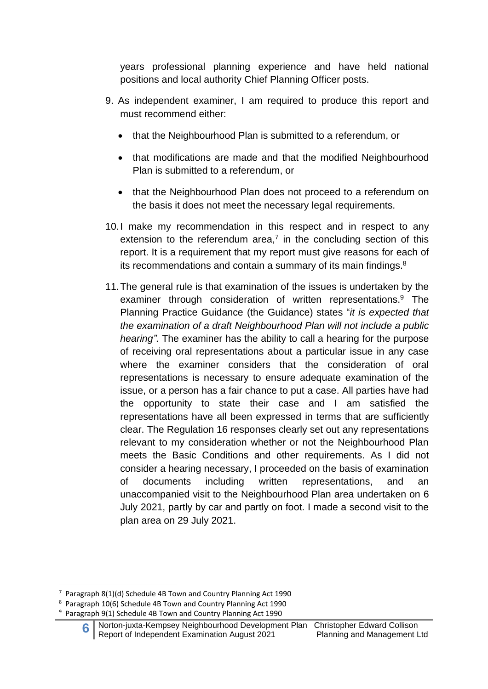years professional planning experience and have held national positions and local authority Chief Planning Officer posts.

- 9. As independent examiner, I am required to produce this report and must recommend either:
	- that the Neighbourhood Plan is submitted to a referendum, or
	- that modifications are made and that the modified Neighbourhood Plan is submitted to a referendum, or
	- that the Neighbourhood Plan does not proceed to a referendum on the basis it does not meet the necessary legal requirements.
- 10.I make my recommendation in this respect and in respect to any extension to the referendum area, $7$  in the concluding section of this report. It is a requirement that my report must give reasons for each of its recommendations and contain a summary of its main findings. $8$
- 11.The general rule is that examination of the issues is undertaken by the examiner through consideration of written representations. <sup>9</sup> The Planning Practice Guidance (the Guidance) states "*it is expected that the examination of a draft Neighbourhood Plan will not include a public hearing".* The examiner has the ability to call a hearing for the purpose of receiving oral representations about a particular issue in any case where the examiner considers that the consideration of oral representations is necessary to ensure adequate examination of the issue, or a person has a fair chance to put a case. All parties have had the opportunity to state their case and I am satisfied the representations have all been expressed in terms that are sufficiently clear. The Regulation 16 responses clearly set out any representations relevant to my consideration whether or not the Neighbourhood Plan meets the Basic Conditions and other requirements. As I did not consider a hearing necessary, I proceeded on the basis of examination of documents including written representations, and an unaccompanied visit to the Neighbourhood Plan area undertaken on 6 July 2021, partly by car and partly on foot. I made a second visit to the plan area on 29 July 2021.

 $7$  Paragraph 8(1)(d) Schedule 4B Town and Country Planning Act 1990

<sup>8</sup> Paragraph 10(6) Schedule 4B Town and Country Planning Act 1990

<sup>9</sup> Paragraph 9(1) Schedule 4B Town and Country Planning Act 1990

**<sup>6</sup>** Norton-juxta-Kempsey Neighbourhood Development Plan Christopher Edward Collison Report of Independent Examination August 2021 Planning and Management Ltd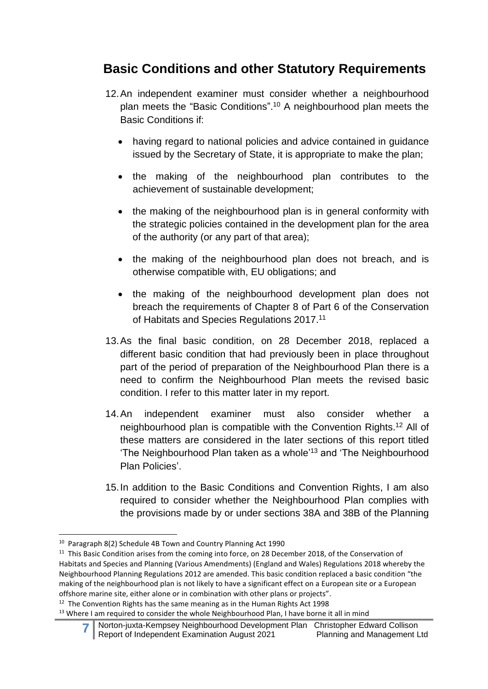# **Basic Conditions and other Statutory Requirements**

- 12.An independent examiner must consider whether a neighbourhood plan meets the "Basic Conditions". <sup>10</sup> A neighbourhood plan meets the Basic Conditions if:
	- having regard to national policies and advice contained in guidance issued by the Secretary of State, it is appropriate to make the plan;
	- the making of the neighbourhood plan contributes to the achievement of sustainable development;
	- the making of the neighbourhood plan is in general conformity with the strategic policies contained in the development plan for the area of the authority (or any part of that area);
	- the making of the neighbourhood plan does not breach, and is otherwise compatible with, EU obligations; and
	- the making of the neighbourhood development plan does not breach the requirements of Chapter 8 of Part 6 of the Conservation of Habitats and Species Regulations 2017.<sup>11</sup>
- 13.As the final basic condition, on 28 December 2018, replaced a different basic condition that had previously been in place throughout part of the period of preparation of the Neighbourhood Plan there is a need to confirm the Neighbourhood Plan meets the revised basic condition. I refer to this matter later in my report.
- 14.An independent examiner must also consider whether a neighbourhood plan is compatible with the Convention Rights. <sup>12</sup> All of these matters are considered in the later sections of this report titled 'The Neighbourhood Plan taken as a whole'<sup>13</sup> and 'The Neighbourhood Plan Policies'.
- 15.In addition to the Basic Conditions and Convention Rights, I am also required to consider whether the Neighbourhood Plan complies with the provisions made by or under sections 38A and 38B of the Planning

<sup>10</sup> Paragraph 8(2) Schedule 4B Town and Country Planning Act 1990

<sup>&</sup>lt;sup>11</sup> This Basic Condition arises from the coming into force, on 28 December 2018, of the Conservation of Habitats and Species and Planning (Various Amendments) (England and Wales) Regulations 2018 whereby the Neighbourhood Planning Regulations 2012 are amended. This basic condition replaced a basic condition "the making of the neighbourhood plan is not likely to have a significant effect on a European site or a European offshore marine site, either alone or in combination with other plans or projects".

 $12$  The Convention Rights has the same meaning as in the Human Rights Act 1998

<sup>&</sup>lt;sup>13</sup> Where I am required to consider the whole Neighbourhood Plan, I have borne it all in mind

**<sup>7</sup>** Norton-juxta-Kempsey Neighbourhood Development Plan Christopher Edward Collison Report of Independent Examination August 2021 Planning and Management Ltd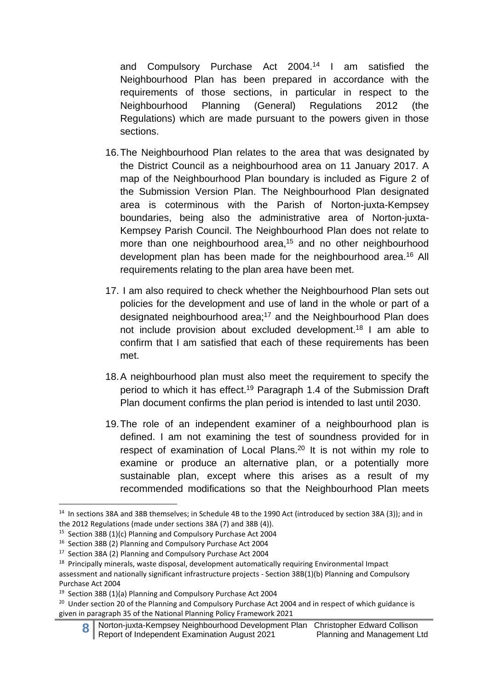and Compulsory Purchase Act 2004. <sup>14</sup> I am satisfied the Neighbourhood Plan has been prepared in accordance with the requirements of those sections, in particular in respect to the Neighbourhood Planning (General) Regulations 2012 (the Regulations) which are made pursuant to the powers given in those sections.

- 16.The Neighbourhood Plan relates to the area that was designated by the District Council as a neighbourhood area on 11 January 2017. A map of the Neighbourhood Plan boundary is included as Figure 2 of the Submission Version Plan. The Neighbourhood Plan designated area is coterminous with the Parish of Norton-juxta-Kempsey boundaries, being also the administrative area of Norton-juxta-Kempsey Parish Council. The Neighbourhood Plan does not relate to more than one neighbourhood area,<sup>15</sup> and no other neighbourhood development plan has been made for the neighbourhood area.<sup>16</sup> All requirements relating to the plan area have been met.
- 17. I am also required to check whether the Neighbourhood Plan sets out policies for the development and use of land in the whole or part of a designated neighbourhood area;<sup>17</sup> and the Neighbourhood Plan does not include provision about excluded development. <sup>18</sup> I am able to confirm that I am satisfied that each of these requirements has been met.
- 18.A neighbourhood plan must also meet the requirement to specify the period to which it has effect.<sup>19</sup> Paragraph 1.4 of the Submission Draft Plan document confirms the plan period is intended to last until 2030.
- 19.The role of an independent examiner of a neighbourhood plan is defined. I am not examining the test of soundness provided for in respect of examination of Local Plans.<sup>20</sup> It is not within my role to examine or produce an alternative plan, or a potentially more sustainable plan, except where this arises as a result of my recommended modifications so that the Neighbourhood Plan meets

<sup>&</sup>lt;sup>14</sup> In sections 38A and 38B themselves; in Schedule 4B to the 1990 Act (introduced by section 38A (3)); and in the 2012 Regulations (made under sections 38A (7) and 38B (4)).

<sup>&</sup>lt;sup>15</sup> Section 38B (1)(c) Planning and Compulsory Purchase Act 2004

<sup>16</sup> Section 38B (2) Planning and Compulsory Purchase Act 2004

<sup>&</sup>lt;sup>17</sup> Section 38A (2) Planning and Compulsory Purchase Act 2004

<sup>&</sup>lt;sup>18</sup> Principally minerals, waste disposal, development automatically requiring Environmental Impact assessment and nationally significant infrastructure projects - Section 38B(1)(b) Planning and Compulsory Purchase Act 2004

<sup>19</sup> Section 38B (1)(a) Planning and Compulsory Purchase Act 2004

<sup>&</sup>lt;sup>20</sup> Under section 20 of the Planning and Compulsory Purchase Act 2004 and in respect of which guidance is given in paragraph 35 of the National Planning Policy Framework 2021

**<sup>8</sup>** Norton-juxta-Kempsey Neighbourhood Development Plan Christopher Edward Collison Report of Independent Examination August 2021 Planning and Management Ltd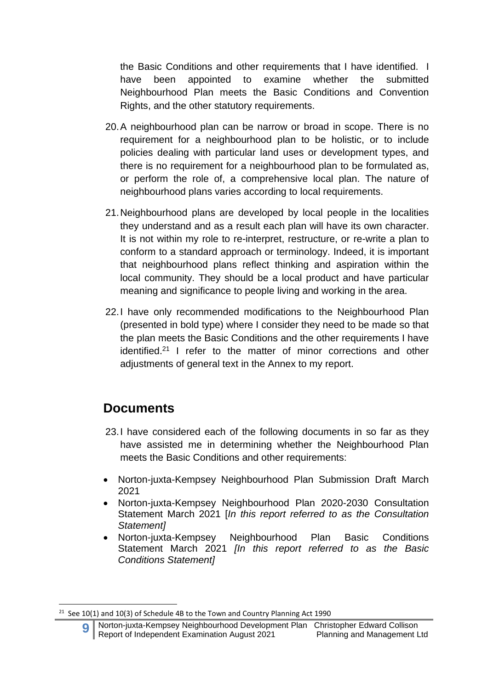the Basic Conditions and other requirements that I have identified. I have been appointed to examine whether the submitted Neighbourhood Plan meets the Basic Conditions and Convention Rights, and the other statutory requirements.

- 20.A neighbourhood plan can be narrow or broad in scope. There is no requirement for a neighbourhood plan to be holistic, or to include policies dealing with particular land uses or development types, and there is no requirement for a neighbourhood plan to be formulated as, or perform the role of, a comprehensive local plan. The nature of neighbourhood plans varies according to local requirements.
- 21.Neighbourhood plans are developed by local people in the localities they understand and as a result each plan will have its own character. It is not within my role to re-interpret, restructure, or re-write a plan to conform to a standard approach or terminology. Indeed, it is important that neighbourhood plans reflect thinking and aspiration within the local community. They should be a local product and have particular meaning and significance to people living and working in the area.
- 22.I have only recommended modifications to the Neighbourhood Plan (presented in bold type) where I consider they need to be made so that the plan meets the Basic Conditions and the other requirements I have identified.<sup>21</sup> I refer to the matter of minor corrections and other adjustments of general text in the Annex to my report.

# **Documents**

- 23.I have considered each of the following documents in so far as they have assisted me in determining whether the Neighbourhood Plan meets the Basic Conditions and other requirements:
- Norton-juxta-Kempsey Neighbourhood Plan Submission Draft March 2021
- Norton-juxta-Kempsey Neighbourhood Plan 2020-2030 Consultation Statement March 2021 [*In this report referred to as the Consultation Statement]*
- Norton-juxta-Kempsey Neighbourhood Plan Basic Conditions Statement March 2021 *[In this report referred to as the Basic Conditions Statement]*

 $21$  See 10(1) and 10(3) of Schedule 4B to the Town and Country Planning Act 1990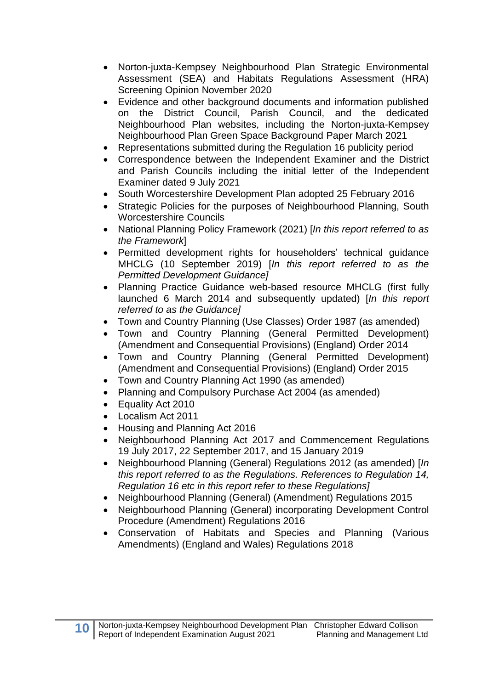- Norton-juxta-Kempsey Neighbourhood Plan Strategic Environmental Assessment (SEA) and Habitats Regulations Assessment (HRA) Screening Opinion November 2020
- Evidence and other background documents and information published on the District Council, Parish Council, and the dedicated Neighbourhood Plan websites, including the Norton-juxta-Kempsey Neighbourhood Plan Green Space Background Paper March 2021
- Representations submitted during the Regulation 16 publicity period
- Correspondence between the Independent Examiner and the District and Parish Councils including the initial letter of the Independent Examiner dated 9 July 2021
- South Worcestershire Development Plan adopted 25 February 2016
- Strategic Policies for the purposes of Neighbourhood Planning, South Worcestershire Councils
- National Planning Policy Framework (2021) [*In this report referred to as the Framework*]
- Permitted development rights for householders' technical guidance MHCLG (10 September 2019) [*In this report referred to as the Permitted Development Guidance]*
- Planning Practice Guidance web-based resource MHCLG (first fully launched 6 March 2014 and subsequently updated) [*In this report referred to as the Guidance]*
- Town and Country Planning (Use Classes) Order 1987 (as amended)
- Town and Country Planning (General Permitted Development) (Amendment and Consequential Provisions) (England) Order 2014
- Town and Country Planning (General Permitted Development) (Amendment and Consequential Provisions) (England) Order 2015
- Town and Country Planning Act 1990 (as amended)
- Planning and Compulsory Purchase Act 2004 (as amended)
- Equality Act 2010
- Localism Act 2011
- Housing and Planning Act 2016
- Neighbourhood Planning Act 2017 and Commencement Regulations 19 July 2017, 22 September 2017, and 15 January 2019
- Neighbourhood Planning (General) Regulations 2012 (as amended) [*In this report referred to as the Regulations. References to Regulation 14, Regulation 16 etc in this report refer to these Regulations]*
- Neighbourhood Planning (General) (Amendment) Regulations 2015
- Neighbourhood Planning (General) incorporating Development Control Procedure (Amendment) Regulations 2016
- Conservation of Habitats and Species and Planning (Various Amendments) (England and Wales) Regulations 2018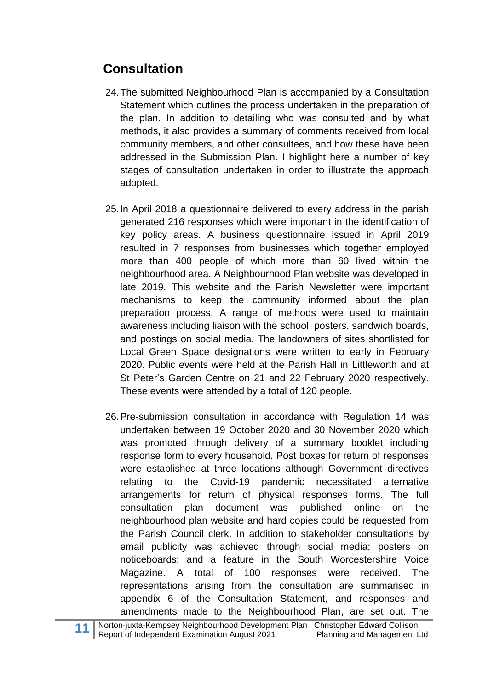# **Consultation**

- 24.The submitted Neighbourhood Plan is accompanied by a Consultation Statement which outlines the process undertaken in the preparation of the plan. In addition to detailing who was consulted and by what methods, it also provides a summary of comments received from local community members, and other consultees, and how these have been addressed in the Submission Plan. I highlight here a number of key stages of consultation undertaken in order to illustrate the approach adopted.
- 25.In April 2018 a questionnaire delivered to every address in the parish generated 216 responses which were important in the identification of key policy areas. A business questionnaire issued in April 2019 resulted in 7 responses from businesses which together employed more than 400 people of which more than 60 lived within the neighbourhood area. A Neighbourhood Plan website was developed in late 2019. This website and the Parish Newsletter were important mechanisms to keep the community informed about the plan preparation process. A range of methods were used to maintain awareness including liaison with the school, posters, sandwich boards, and postings on social media. The landowners of sites shortlisted for Local Green Space designations were written to early in February 2020. Public events were held at the Parish Hall in Littleworth and at St Peter's Garden Centre on 21 and 22 February 2020 respectively. These events were attended by a total of 120 people.
- 26.Pre-submission consultation in accordance with Regulation 14 was undertaken between 19 October 2020 and 30 November 2020 which was promoted through delivery of a summary booklet including response form to every household. Post boxes for return of responses were established at three locations although Government directives relating to the Covid-19 pandemic necessitated alternative arrangements for return of physical responses forms. The full consultation plan document was published online on the neighbourhood plan website and hard copies could be requested from the Parish Council clerk. In addition to stakeholder consultations by email publicity was achieved through social media; posters on noticeboards; and a feature in the South Worcestershire Voice Magazine. A total of 100 responses were received. The representations arising from the consultation are summarised in appendix 6 of the Consultation Statement, and responses and amendments made to the Neighbourhood Plan, are set out. The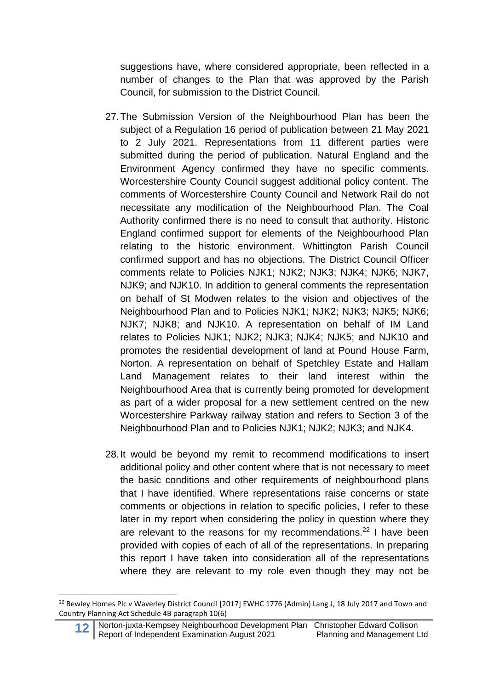suggestions have, where considered appropriate, been reflected in a number of changes to the Plan that was approved by the Parish Council, for submission to the District Council.

- 27.The Submission Version of the Neighbourhood Plan has been the subject of a Regulation 16 period of publication between 21 May 2021 to 2 July 2021. Representations from 11 different parties were submitted during the period of publication. Natural England and the Environment Agency confirmed they have no specific comments. Worcestershire County Council suggest additional policy content. The comments of Worcestershire County Council and Network Rail do not necessitate any modification of the Neighbourhood Plan. The Coal Authority confirmed there is no need to consult that authority. Historic England confirmed support for elements of the Neighbourhood Plan relating to the historic environment. Whittington Parish Council confirmed support and has no objections. The District Council Officer comments relate to Policies NJK1; NJK2; NJK3; NJK4; NJK6; NJK7, NJK9; and NJK10. In addition to general comments the representation on behalf of St Modwen relates to the vision and objectives of the Neighbourhood Plan and to Policies NJK1; NJK2; NJK3; NJK5; NJK6; NJK7; NJK8; and NJK10. A representation on behalf of IM Land relates to Policies NJK1; NJK2; NJK3; NJK4; NJK5; and NJK10 and promotes the residential development of land at Pound House Farm, Norton. A representation on behalf of Spetchley Estate and Hallam Land Management relates to their land interest within the Neighbourhood Area that is currently being promoted for development as part of a wider proposal for a new settlement centred on the new Worcestershire Parkway railway station and refers to Section 3 of the Neighbourhood Plan and to Policies NJK1; NJK2; NJK3; and NJK4.
- 28.It would be beyond my remit to recommend modifications to insert additional policy and other content where that is not necessary to meet the basic conditions and other requirements of neighbourhood plans that I have identified. Where representations raise concerns or state comments or objections in relation to specific policies, I refer to these later in my report when considering the policy in question where they are relevant to the reasons for my recommendations.<sup>22</sup> I have been provided with copies of each of all of the representations. In preparing this report I have taken into consideration all of the representations where they are relevant to my role even though they may not be

<sup>&</sup>lt;sup>22</sup> Bewley Homes Plc v Waverley District Council [2017] EWHC 1776 (Admin) Lang J, 18 July 2017 and Town and Country Planning Act Schedule 4B paragraph 10(6)

**<sup>12</sup>** Norton-juxta-Kempsey Neighbourhood Development Plan Christopher Edward Collison<br>Report of Independent Examination August 2021 Planning and Management Ltd Report of Independent Examination August 2021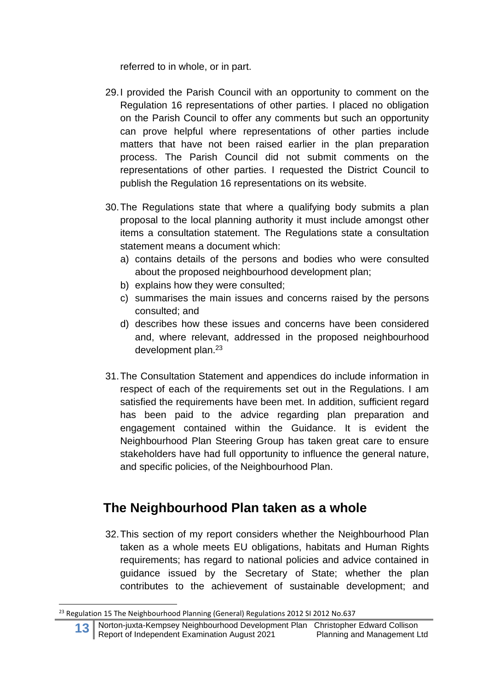referred to in whole, or in part.

- 29.I provided the Parish Council with an opportunity to comment on the Regulation 16 representations of other parties. I placed no obligation on the Parish Council to offer any comments but such an opportunity can prove helpful where representations of other parties include matters that have not been raised earlier in the plan preparation process. The Parish Council did not submit comments on the representations of other parties. I requested the District Council to publish the Regulation 16 representations on its website.
- 30.The Regulations state that where a qualifying body submits a plan proposal to the local planning authority it must include amongst other items a consultation statement. The Regulations state a consultation statement means a document which:
	- a) contains details of the persons and bodies who were consulted about the proposed neighbourhood development plan;
	- b) explains how they were consulted;
	- c) summarises the main issues and concerns raised by the persons consulted; and
	- d) describes how these issues and concerns have been considered and, where relevant, addressed in the proposed neighbourhood development plan.<sup>23</sup>
- 31.The Consultation Statement and appendices do include information in respect of each of the requirements set out in the Regulations. I am satisfied the requirements have been met. In addition, sufficient regard has been paid to the advice regarding plan preparation and engagement contained within the Guidance. It is evident the Neighbourhood Plan Steering Group has taken great care to ensure stakeholders have had full opportunity to influence the general nature, and specific policies, of the Neighbourhood Plan.

# **The Neighbourhood Plan taken as a whole**

32.This section of my report considers whether the Neighbourhood Plan taken as a whole meets EU obligations, habitats and Human Rights requirements; has regard to national policies and advice contained in guidance issued by the Secretary of State; whether the plan contributes to the achievement of sustainable development; and

<sup>&</sup>lt;sup>23</sup> Regulation 15 The Neighbourhood Planning (General) Regulations 2012 SI 2012 No.637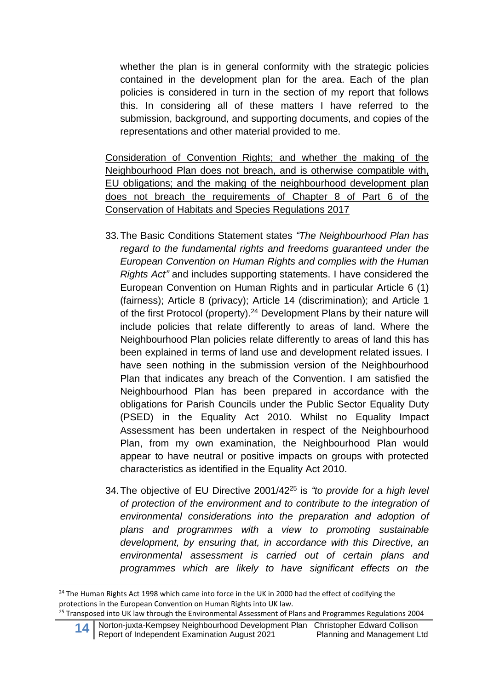whether the plan is in general conformity with the strategic policies contained in the development plan for the area. Each of the plan policies is considered in turn in the section of my report that follows this. In considering all of these matters I have referred to the submission, background, and supporting documents, and copies of the representations and other material provided to me.

Consideration of Convention Rights; and whether the making of the Neighbourhood Plan does not breach, and is otherwise compatible with, EU obligations; and the making of the neighbourhood development plan does not breach the requirements of Chapter 8 of Part 6 of the Conservation of Habitats and Species Regulations 2017

- 33.The Basic Conditions Statement states *"The Neighbourhood Plan has regard to the fundamental rights and freedoms guaranteed under the European Convention on Human Rights and complies with the Human Rights Act"* and includes supporting statements. I have considered the European Convention on Human Rights and in particular Article 6 (1) (fairness); Article 8 (privacy); Article 14 (discrimination); and Article 1 of the first Protocol (property).<sup>24</sup> Development Plans by their nature will include policies that relate differently to areas of land. Where the Neighbourhood Plan policies relate differently to areas of land this has been explained in terms of land use and development related issues. I have seen nothing in the submission version of the Neighbourhood Plan that indicates any breach of the Convention. I am satisfied the Neighbourhood Plan has been prepared in accordance with the obligations for Parish Councils under the Public Sector Equality Duty (PSED) in the Equality Act 2010. Whilst no Equality Impact Assessment has been undertaken in respect of the Neighbourhood Plan, from my own examination, the Neighbourhood Plan would appear to have neutral or positive impacts on groups with protected characteristics as identified in the Equality Act 2010.
- 34.The objective of EU Directive 2001/42<sup>25</sup> is *"to provide for a high level of protection of the environment and to contribute to the integration of environmental considerations into the preparation and adoption of plans and programmes with a view to promoting sustainable development, by ensuring that, in accordance with this Directive, an environmental assessment is carried out of certain plans and programmes which are likely to have significant effects on the*

<sup>&</sup>lt;sup>24</sup> The Human Rights Act 1998 which came into force in the UK in 2000 had the effect of codifying the protections in the European Convention on Human Rights into UK law.

<sup>&</sup>lt;sup>25</sup> Transposed into UK law through the Environmental Assessment of Plans and Programmes Regulations 2004

<sup>14</sup> Norton-juxta-Kempsey Neighbourhood Development Plan Christopher Edward Collison<br>Report of Independent Examination August 2021 Planning and Management Ltd Report of Independent Examination August 2021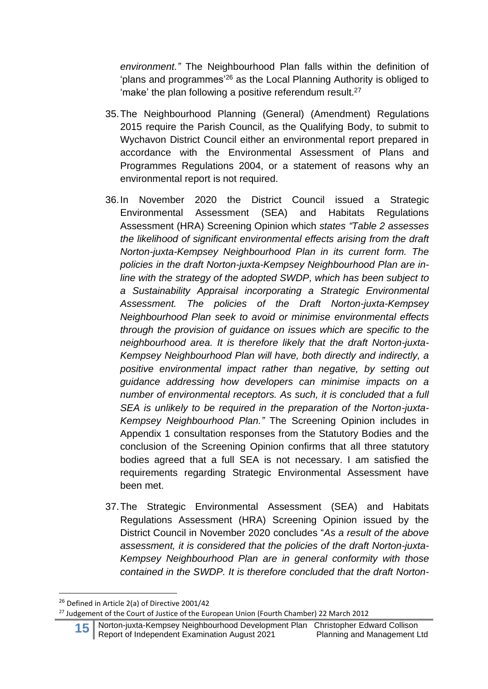*environment."* The Neighbourhood Plan falls within the definition of 'plans and programmes'<sup>26</sup> as the Local Planning Authority is obliged to 'make' the plan following a positive referendum result.<sup>27</sup>

- 35.The Neighbourhood Planning (General) (Amendment) Regulations 2015 require the Parish Council, as the Qualifying Body, to submit to Wychavon District Council either an environmental report prepared in accordance with the Environmental Assessment of Plans and Programmes Regulations 2004, or a statement of reasons why an environmental report is not required.
- 36.In November 2020 the District Council issued a Strategic Environmental Assessment (SEA) and Habitats Regulations Assessment (HRA) Screening Opinion which *states "Table 2 assesses the likelihood of significant environmental effects arising from the draft Norton-juxta-Kempsey Neighbourhood Plan in its current form. The policies in the draft Norton-juxta-Kempsey Neighbourhood Plan are inline with the strategy of the adopted SWDP, which has been subject to a Sustainability Appraisal incorporating a Strategic Environmental Assessment. The policies of the Draft Norton-juxta-Kempsey Neighbourhood Plan seek to avoid or minimise environmental effects through the provision of guidance on issues which are specific to the neighbourhood area. It is therefore likely that the draft Norton-juxta-Kempsey Neighbourhood Plan will have, both directly and indirectly, a positive environmental impact rather than negative, by setting out guidance addressing how developers can minimise impacts on a number of environmental receptors. As such, it is concluded that a full SEA is unlikely to be required in the preparation of the Norton-juxta-Kempsey Neighbourhood Plan."* The Screening Opinion includes in Appendix 1 consultation responses from the Statutory Bodies and the conclusion of the Screening Opinion confirms that all three statutory bodies agreed that a full SEA is not necessary. I am satisfied the requirements regarding Strategic Environmental Assessment have been met.
- 37.The Strategic Environmental Assessment (SEA) and Habitats Regulations Assessment (HRA) Screening Opinion issued by the District Council in November 2020 concludes "*As a result of the above assessment, it is considered that the policies of the draft Norton-juxta-Kempsey Neighbourhood Plan are in general conformity with those contained in the SWDP. It is therefore concluded that the draft Norton-*

<sup>&</sup>lt;sup>26</sup> Defined in Article 2(a) of Directive 2001/42

<sup>&</sup>lt;sup>27</sup> Judgement of the Court of Justice of the European Union (Fourth Chamber) 22 March 2012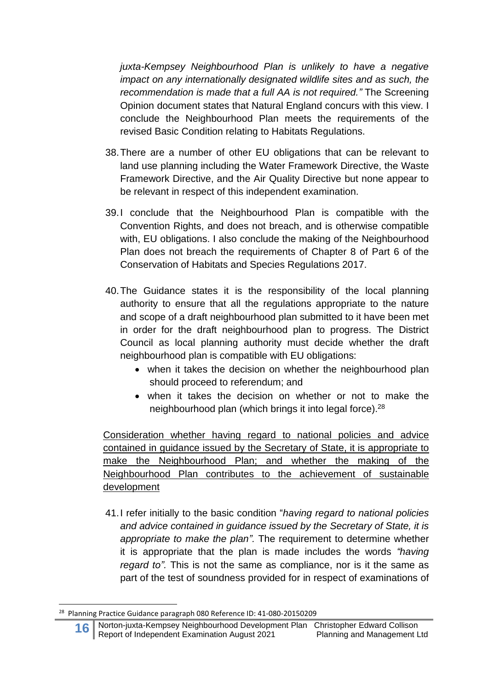*juxta-Kempsey Neighbourhood Plan is unlikely to have a negative impact on any internationally designated wildlife sites and as such, the recommendation is made that a full AA is not required."* The Screening Opinion document states that Natural England concurs with this view. I conclude the Neighbourhood Plan meets the requirements of the revised Basic Condition relating to Habitats Regulations.

- 38.There are a number of other EU obligations that can be relevant to land use planning including the Water Framework Directive, the Waste Framework Directive, and the Air Quality Directive but none appear to be relevant in respect of this independent examination.
- 39.I conclude that the Neighbourhood Plan is compatible with the Convention Rights, and does not breach, and is otherwise compatible with, EU obligations. I also conclude the making of the Neighbourhood Plan does not breach the requirements of Chapter 8 of Part 6 of the Conservation of Habitats and Species Regulations 2017.
- 40.The Guidance states it is the responsibility of the local planning authority to ensure that all the regulations appropriate to the nature and scope of a draft neighbourhood plan submitted to it have been met in order for the draft neighbourhood plan to progress. The District Council as local planning authority must decide whether the draft neighbourhood plan is compatible with EU obligations:
	- when it takes the decision on whether the neighbourhood plan should proceed to referendum; and
	- when it takes the decision on whether or not to make the neighbourhood plan (which brings it into legal force). 28

Consideration whether having regard to national policies and advice contained in guidance issued by the Secretary of State, it is appropriate to make the Neighbourhood Plan; and whether the making of the Neighbourhood Plan contributes to the achievement of sustainable development

41.I refer initially to the basic condition "*having regard to national policies and advice contained in guidance issued by the Secretary of State, it is appropriate to make the plan".* The requirement to determine whether it is appropriate that the plan is made includes the words *"having regard to".* This is not the same as compliance, nor is it the same as part of the test of soundness provided for in respect of examinations of

<sup>28</sup> Planning Practice Guidance paragraph 080 Reference ID: 41-080-20150209

**<sup>1666</sup>** Norton-juxta-Kempsey Neighbourhood Development Plan Christopher Edward Collison<br>1666 Report of Independent Examination August 2021 Planning and Management Ltd Report of Independent Examination August 2021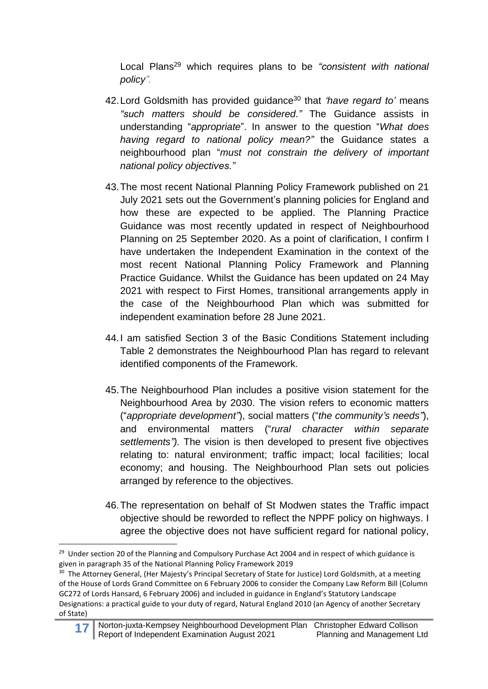Local Plans <sup>29</sup> which requires plans to be *"consistent with national policy".*

- 42.Lord Goldsmith has provided guidance <sup>30</sup> that *'have regard to'* means *"such matters should be considered."* The Guidance assists in understanding "*appropriate*". In answer to the question "*What does having regard to national policy mean?"* the Guidance states a neighbourhood plan "*must not constrain the delivery of important national policy objectives."*
- 43.The most recent National Planning Policy Framework published on 21 July 2021 sets out the Government's planning policies for England and how these are expected to be applied. The Planning Practice Guidance was most recently updated in respect of Neighbourhood Planning on 25 September 2020. As a point of clarification, I confirm I have undertaken the Independent Examination in the context of the most recent National Planning Policy Framework and Planning Practice Guidance. Whilst the Guidance has been updated on 24 May 2021 with respect to First Homes, transitional arrangements apply in the case of the Neighbourhood Plan which was submitted for independent examination before 28 June 2021.
- 44.I am satisfied Section 3 of the Basic Conditions Statement including Table 2 demonstrates the Neighbourhood Plan has regard to relevant identified components of the Framework.
- 45.The Neighbourhood Plan includes a positive vision statement for the Neighbourhood Area by 2030. The vision refers to economic matters ("*appropriate development"*), social matters ("*the community's needs"*), and environmental matters ("*rural character within separate settlements").* The vision is then developed to present five objectives relating to: natural environment; traffic impact; local facilities; local economy; and housing. The Neighbourhood Plan sets out policies arranged by reference to the objectives.
- 46.The representation on behalf of St Modwen states the Traffic impact objective should be reworded to reflect the NPPF policy on highways. I agree the objective does not have sufficient regard for national policy,

**17** Norton-juxta-Kempsey Neighbourhood Development Plan Christopher Edward Collison<br>Report of Independent Examination August 2021 Planning and Management Ltd Report of Independent Examination August 2021

<sup>&</sup>lt;sup>29</sup> Under section 20 of the Planning and Compulsory Purchase Act 2004 and in respect of which guidance is given in paragraph 35 of the National Planning Policy Framework 2019

<sup>&</sup>lt;sup>30</sup> The Attorney General, (Her Majesty's Principal Secretary of State for Justice) Lord Goldsmith, at a meeting of the House of Lords Grand Committee on 6 February 2006 to consider the Company Law Reform Bill (Column GC272 of Lords Hansard, 6 February 2006) and included in guidance in England's Statutory Landscape Designations: a practical guide to your duty of regard, Natural England 2010 (an Agency of another Secretary of State)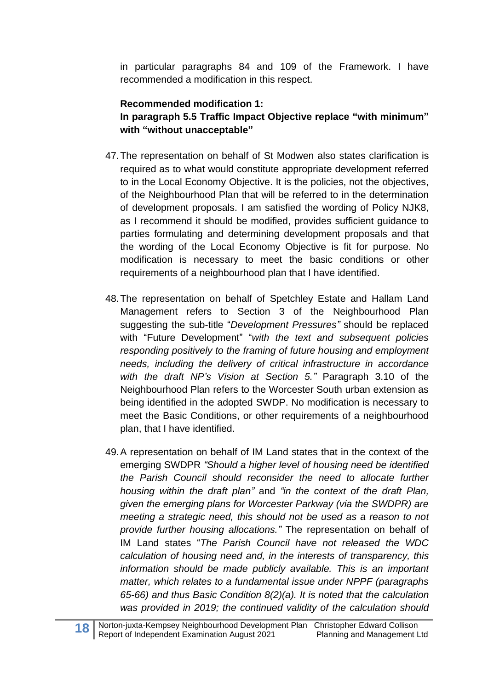in particular paragraphs 84 and 109 of the Framework. I have recommended a modification in this respect.

# **Recommended modification 1: In paragraph 5.5 Traffic Impact Objective replace "with minimum" with "without unacceptable"**

- 47.The representation on behalf of St Modwen also states clarification is required as to what would constitute appropriate development referred to in the Local Economy Objective. It is the policies, not the objectives, of the Neighbourhood Plan that will be referred to in the determination of development proposals. I am satisfied the wording of Policy NJK8, as I recommend it should be modified, provides sufficient guidance to parties formulating and determining development proposals and that the wording of the Local Economy Objective is fit for purpose. No modification is necessary to meet the basic conditions or other requirements of a neighbourhood plan that I have identified.
- 48.The representation on behalf of Spetchley Estate and Hallam Land Management refers to Section 3 of the Neighbourhood Plan suggesting the sub-title "*Development Pressures"* should be replaced with "Future Development" "*with the text and subsequent policies responding positively to the framing of future housing and employment needs, including the delivery of critical infrastructure in accordance with the draft NP's Vision at Section 5."* Paragraph 3.10 of the Neighbourhood Plan refers to the Worcester South urban extension as being identified in the adopted SWDP. No modification is necessary to meet the Basic Conditions, or other requirements of a neighbourhood plan, that I have identified.
- 49.A representation on behalf of IM Land states that in the context of the emerging SWDPR *"Should a higher level of housing need be identified the Parish Council should reconsider the need to allocate further housing within the draft plan"* and *"in the context of the draft Plan, given the emerging plans for Worcester Parkway (via the SWDPR) are meeting a strategic need, this should not be used as a reason to not provide further housing allocations."* The representation on behalf of IM Land states "*The Parish Council have not released the WDC calculation of housing need and, in the interests of transparency, this information should be made publicly available. This is an important matter, which relates to a fundamental issue under NPPF (paragraphs 65-66) and thus Basic Condition 8(2)(a). It is noted that the calculation was provided in 2019; the continued validity of the calculation should*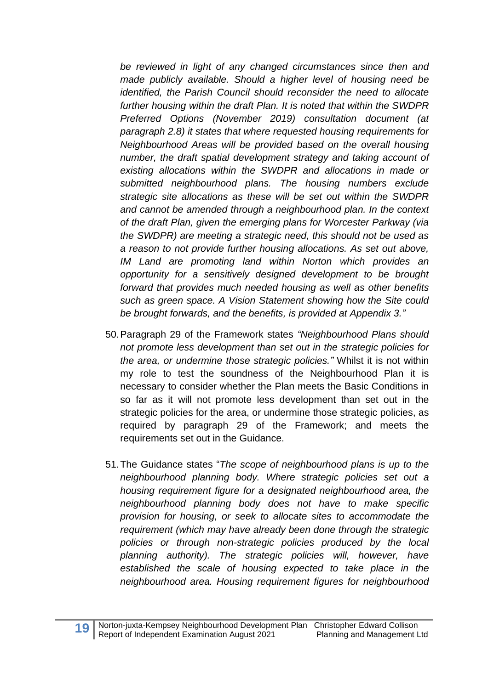*be reviewed in light of any changed circumstances since then and made publicly available. Should a higher level of housing need be identified, the Parish Council should reconsider the need to allocate further housing within the draft Plan. It is noted that within the SWDPR Preferred Options (November 2019) consultation document (at paragraph 2.8) it states that where requested housing requirements for Neighbourhood Areas will be provided based on the overall housing number, the draft spatial development strategy and taking account of existing allocations within the SWDPR and allocations in made or submitted neighbourhood plans. The housing numbers exclude strategic site allocations as these will be set out within the SWDPR and cannot be amended through a neighbourhood plan. In the context of the draft Plan, given the emerging plans for Worcester Parkway (via the SWDPR) are meeting a strategic need, this should not be used as a reason to not provide further housing allocations. As set out above, IM Land are promoting land within Norton which provides an opportunity for a sensitively designed development to be brought forward that provides much needed housing as well as other benefits such as green space. A Vision Statement showing how the Site could be brought forwards, and the benefits, is provided at Appendix 3."*

- 50.Paragraph 29 of the Framework states *"Neighbourhood Plans should not promote less development than set out in the strategic policies for the area, or undermine those strategic policies."* Whilst it is not within my role to test the soundness of the Neighbourhood Plan it is necessary to consider whether the Plan meets the Basic Conditions in so far as it will not promote less development than set out in the strategic policies for the area, or undermine those strategic policies, as required by paragraph 29 of the Framework; and meets the requirements set out in the Guidance.
- 51.The Guidance states "*The scope of neighbourhood plans is up to the neighbourhood planning body. Where strategic policies set out a housing requirement figure for a designated neighbourhood area, the neighbourhood planning body does not have to make specific provision for housing, or seek to allocate sites to accommodate the requirement (which may have already been done through the strategic policies or through non-strategic policies produced by the local planning authority). The strategic policies will, however, have established the scale of housing expected to take place in the neighbourhood area. Housing requirement figures for neighbourhood*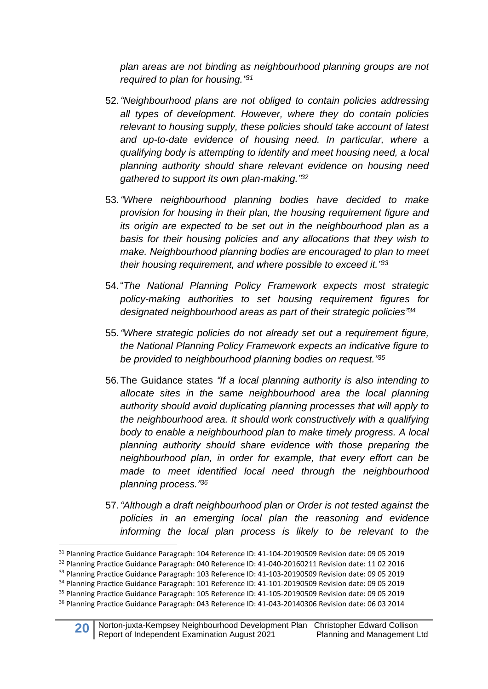*plan areas are not binding as neighbourhood planning groups are not required to plan for housing." 31*

- 52.*"Neighbourhood plans are not obliged to contain policies addressing all types of development. However, where they do contain policies relevant to housing supply, these policies should take account of latest and up-to-date evidence of housing need. In particular, where a qualifying body is attempting to identify and meet housing need, a local planning authority should share relevant evidence on housing need gathered to support its own plan-making." 32*
- 53.*"Where neighbourhood planning bodies have decided to make provision for housing in their plan, the housing requirement figure and its origin are expected to be set out in the neighbourhood plan as a basis for their housing policies and any allocations that they wish to make. Neighbourhood planning bodies are encouraged to plan to meet their housing requirement, and where possible to exceed it." 33*
- 54."*The National Planning Policy Framework expects most strategic policy-making authorities to set housing requirement figures for designated neighbourhood areas as part of their strategic policies" 34*
- 55.*"Where strategic policies do not already set out a requirement figure, the National Planning Policy Framework expects an indicative figure to be provided to neighbourhood planning bodies on request." 35*
- 56.The Guidance states *"If a local planning authority is also intending to allocate sites in the same neighbourhood area the local planning authority should avoid duplicating planning processes that will apply to the neighbourhood area. It should work constructively with a qualifying body to enable a neighbourhood plan to make timely progress. A local planning authority should share evidence with those preparing the neighbourhood plan, in order for example, that every effort can be made to meet identified local need through the neighbourhood planning process." 36*
- 57.*"Although a draft neighbourhood plan or Order is not tested against the policies in an emerging local plan the reasoning and evidence informing the local plan process is likely to be relevant to the*

<sup>31</sup> Planning Practice Guidance Paragraph: 104 Reference ID: 41-104-20190509 Revision date: 09 05 2019

<sup>&</sup>lt;sup>32</sup> Planning Practice Guidance Paragraph: 040 Reference ID: 41-040-20160211 Revision date: 11 02 2016

<sup>&</sup>lt;sup>33</sup> Planning Practice Guidance Paragraph: 103 Reference ID: 41-103-20190509 Revision date: 09 05 2019

<sup>34</sup> Planning Practice Guidance Paragraph: 101 Reference ID: 41-101-20190509 Revision date: 09 05 2019

<sup>35</sup> Planning Practice Guidance Paragraph: 105 Reference ID: 41-105-20190509 Revision date: 09 05 2019

<sup>36</sup> Planning Practice Guidance Paragraph: 043 Reference ID: 41-043-20140306 Revision date: 06 03 2014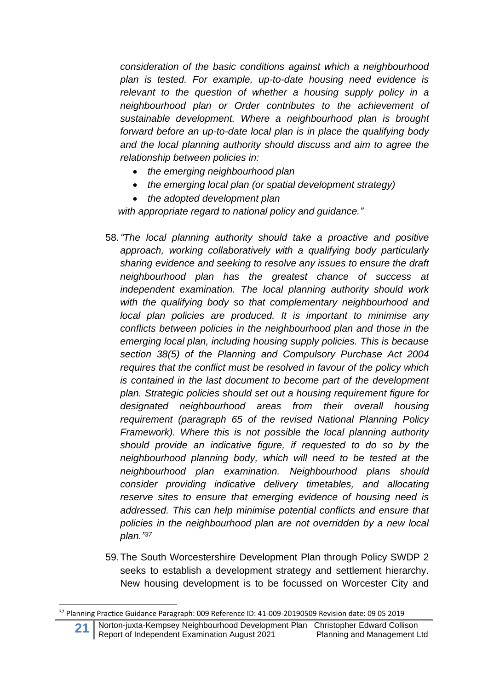*consideration of the basic conditions against which a neighbourhood plan is tested. For example, up-to-date housing need evidence is relevant to the question of whether a housing supply policy in a neighbourhood plan or Order contributes to the achievement of sustainable development. Where a neighbourhood plan is brought forward before an up-to-date local plan is in place the qualifying body and the local planning authority should discuss and aim to agree the relationship between policies in:*

- *the emerging neighbourhood plan*
- *the emerging local plan (or spatial development strategy)*
- *the adopted development plan*

*with appropriate regard to national policy and guidance."*

- 58.*"The local planning authority should take a proactive and positive approach, working collaboratively with a qualifying body particularly sharing evidence and seeking to resolve any issues to ensure the draft neighbourhood plan has the greatest chance of success at independent examination. The local planning authority should work with the qualifying body so that complementary neighbourhood and local plan policies are produced. It is important to minimise any conflicts between policies in the neighbourhood plan and those in the emerging local plan, including housing supply policies. This is because section 38(5) of the Planning and Compulsory Purchase Act 2004 requires that the conflict must be resolved in favour of the policy which is contained in the last document to become part of the development plan. Strategic policies should set out a housing requirement figure for designated neighbourhood areas from their overall housing requirement (paragraph 65 of the revised National Planning Policy Framework). Where this is not possible the local planning authority should provide an indicative figure, if requested to do so by the neighbourhood planning body, which will need to be tested at the neighbourhood plan examination. Neighbourhood plans should consider providing indicative delivery timetables, and allocating reserve sites to ensure that emerging evidence of housing need is addressed. This can help minimise potential conflicts and ensure that policies in the neighbourhood plan are not overridden by a new local plan." 37*
- 59.The South Worcestershire Development Plan through Policy SWDP 2 seeks to establish a development strategy and settlement hierarchy. New housing development is to be focussed on Worcester City and

<sup>37</sup> Planning Practice Guidance Paragraph: 009 Reference ID: 41-009-20190509 Revision date: 09 05 2019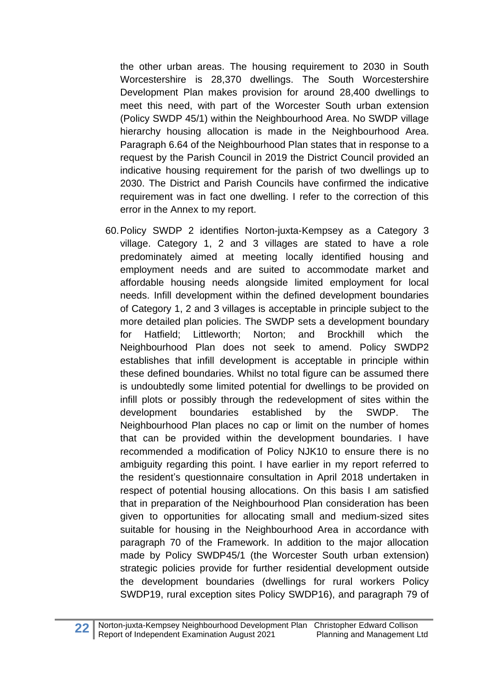the other urban areas. The housing requirement to 2030 in South Worcestershire is 28,370 dwellings. The South Worcestershire Development Plan makes provision for around 28,400 dwellings to meet this need, with part of the Worcester South urban extension (Policy SWDP 45/1) within the Neighbourhood Area. No SWDP village hierarchy housing allocation is made in the Neighbourhood Area. Paragraph 6.64 of the Neighbourhood Plan states that in response to a request by the Parish Council in 2019 the District Council provided an indicative housing requirement for the parish of two dwellings up to 2030. The District and Parish Councils have confirmed the indicative requirement was in fact one dwelling. I refer to the correction of this error in the Annex to my report.

60.Policy SWDP 2 identifies Norton-juxta-Kempsey as a Category 3 village. Category 1, 2 and 3 villages are stated to have a role predominately aimed at meeting locally identified housing and employment needs and are suited to accommodate market and affordable housing needs alongside limited employment for local needs. Infill development within the defined development boundaries of Category 1, 2 and 3 villages is acceptable in principle subject to the more detailed plan policies. The SWDP sets a development boundary for Hatfield; Littleworth; Norton; and Brockhill which the Neighbourhood Plan does not seek to amend. Policy SWDP2 establishes that infill development is acceptable in principle within these defined boundaries. Whilst no total figure can be assumed there is undoubtedly some limited potential for dwellings to be provided on infill plots or possibly through the redevelopment of sites within the development boundaries established by the SWDP. The Neighbourhood Plan places no cap or limit on the number of homes that can be provided within the development boundaries. I have recommended a modification of Policy NJK10 to ensure there is no ambiguity regarding this point. I have earlier in my report referred to the resident's questionnaire consultation in April 2018 undertaken in respect of potential housing allocations. On this basis I am satisfied that in preparation of the Neighbourhood Plan consideration has been given to opportunities for allocating small and medium-sized sites suitable for housing in the Neighbourhood Area in accordance with paragraph 70 of the Framework. In addition to the major allocation made by Policy SWDP45/1 (the Worcester South urban extension) strategic policies provide for further residential development outside the development boundaries (dwellings for rural workers Policy SWDP19, rural exception sites Policy SWDP16), and paragraph 79 of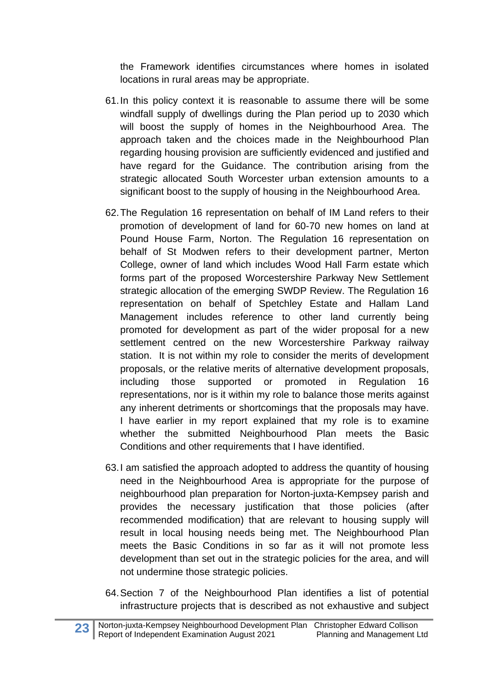the Framework identifies circumstances where homes in isolated locations in rural areas may be appropriate.

- 61.In this policy context it is reasonable to assume there will be some windfall supply of dwellings during the Plan period up to 2030 which will boost the supply of homes in the Neighbourhood Area. The approach taken and the choices made in the Neighbourhood Plan regarding housing provision are sufficiently evidenced and justified and have regard for the Guidance. The contribution arising from the strategic allocated South Worcester urban extension amounts to a significant boost to the supply of housing in the Neighbourhood Area.
- 62.The Regulation 16 representation on behalf of IM Land refers to their promotion of development of land for 60-70 new homes on land at Pound House Farm, Norton. The Regulation 16 representation on behalf of St Modwen refers to their development partner, Merton College, owner of land which includes Wood Hall Farm estate which forms part of the proposed Worcestershire Parkway New Settlement strategic allocation of the emerging SWDP Review. The Regulation 16 representation on behalf of Spetchley Estate and Hallam Land Management includes reference to other land currently being promoted for development as part of the wider proposal for a new settlement centred on the new Worcestershire Parkway railway station. It is not within my role to consider the merits of development proposals, or the relative merits of alternative development proposals, including those supported or promoted in Regulation 16 representations, nor is it within my role to balance those merits against any inherent detriments or shortcomings that the proposals may have. I have earlier in my report explained that my role is to examine whether the submitted Neighbourhood Plan meets the Basic Conditions and other requirements that I have identified.
- 63.I am satisfied the approach adopted to address the quantity of housing need in the Neighbourhood Area is appropriate for the purpose of neighbourhood plan preparation for Norton-juxta-Kempsey parish and provides the necessary justification that those policies (after recommended modification) that are relevant to housing supply will result in local housing needs being met. The Neighbourhood Plan meets the Basic Conditions in so far as it will not promote less development than set out in the strategic policies for the area, and will not undermine those strategic policies.
- 64.Section 7 of the Neighbourhood Plan identifies a list of potential infrastructure projects that is described as not exhaustive and subject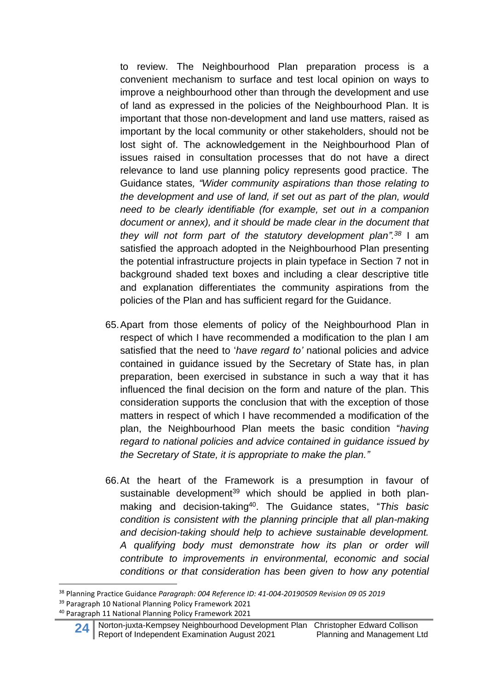to review. The Neighbourhood Plan preparation process is a convenient mechanism to surface and test local opinion on ways to improve a neighbourhood other than through the development and use of land as expressed in the policies of the Neighbourhood Plan. It is important that those non-development and land use matters, raised as important by the local community or other stakeholders, should not be lost sight of. The acknowledgement in the Neighbourhood Plan of issues raised in consultation processes that do not have a direct relevance to land use planning policy represents good practice. The Guidance states*, "Wider community aspirations than those relating to the development and use of land, if set out as part of the plan, would need to be clearly identifiable (for example, set out in a companion document or annex), and it should be made clear in the document that they will not form part of the statutory development plan". <sup>38</sup>* I am satisfied the approach adopted in the Neighbourhood Plan presenting the potential infrastructure projects in plain typeface in Section 7 not in background shaded text boxes and including a clear descriptive title and explanation differentiates the community aspirations from the policies of the Plan and has sufficient regard for the Guidance.

- 65.Apart from those elements of policy of the Neighbourhood Plan in respect of which I have recommended a modification to the plan I am satisfied that the need to '*have regard to'* national policies and advice contained in guidance issued by the Secretary of State has, in plan preparation, been exercised in substance in such a way that it has influenced the final decision on the form and nature of the plan. This consideration supports the conclusion that with the exception of those matters in respect of which I have recommended a modification of the plan, the Neighbourhood Plan meets the basic condition "*having regard to national policies and advice contained in guidance issued by the Secretary of State, it is appropriate to make the plan."*
- 66.At the heart of the Framework is a presumption in favour of sustainable development<sup>39</sup> which should be applied in both planmaking and decision-taking<sup>40</sup> . The Guidance states, "*This basic condition is consistent with the planning principle that all plan-making and decision-taking should help to achieve sustainable development. A qualifying body must demonstrate how its plan or order will contribute to improvements in environmental, economic and social conditions or that consideration has been given to how any potential*

<sup>38</sup> Planning Practice Guidance *Paragraph: 004 Reference ID: 41-004-20190509 Revision 09 05 2019* <sup>39</sup> Paragraph 10 National Planning Policy Framework 2021

<sup>40</sup> Paragraph 11 National Planning Policy Framework 2021

**<sup>24</sup>** Norton-juxta-Kempsey Neighbourhood Development Plan Christopher Edward Collison<br>Report of Independent Examination August 2021 Planning and Management Ltd Report of Independent Examination August 2021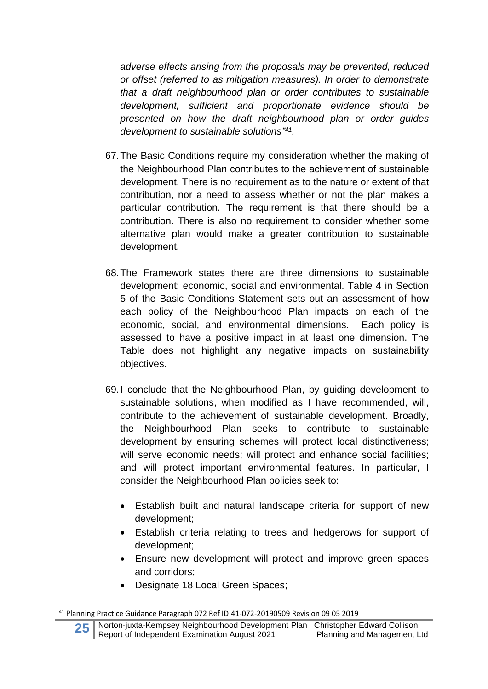*adverse effects arising from the proposals may be prevented, reduced or offset (referred to as mitigation measures). In order to demonstrate that a draft neighbourhood plan or order contributes to sustainable development, sufficient and proportionate evidence should be presented on how the draft neighbourhood plan or order guides development to sustainable solutions" 41 .*

- 67.The Basic Conditions require my consideration whether the making of the Neighbourhood Plan contributes to the achievement of sustainable development. There is no requirement as to the nature or extent of that contribution, nor a need to assess whether or not the plan makes a particular contribution. The requirement is that there should be a contribution. There is also no requirement to consider whether some alternative plan would make a greater contribution to sustainable development.
- 68.The Framework states there are three dimensions to sustainable development: economic, social and environmental. Table 4 in Section 5 of the Basic Conditions Statement sets out an assessment of how each policy of the Neighbourhood Plan impacts on each of the economic, social, and environmental dimensions. Each policy is assessed to have a positive impact in at least one dimension. The Table does not highlight any negative impacts on sustainability objectives.
- 69.I conclude that the Neighbourhood Plan, by guiding development to sustainable solutions, when modified as I have recommended, will, contribute to the achievement of sustainable development. Broadly, the Neighbourhood Plan seeks to contribute to sustainable development by ensuring schemes will protect local distinctiveness; will serve economic needs; will protect and enhance social facilities; and will protect important environmental features. In particular, I consider the Neighbourhood Plan policies seek to:
	- Establish built and natural landscape criteria for support of new development;
	- Establish criteria relating to trees and hedgerows for support of development;
	- Ensure new development will protect and improve green spaces and corridors;
	- Designate 18 Local Green Spaces;

<sup>41</sup> Planning Practice Guidance Paragraph 072 Ref ID:41-072-20190509 Revision 09 05 2019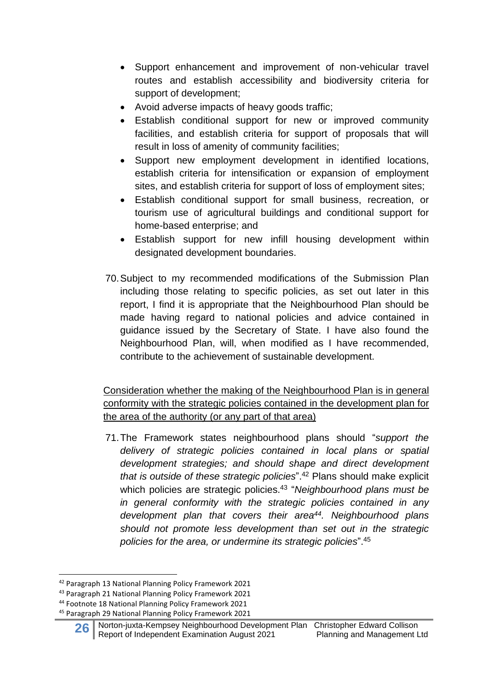- Support enhancement and improvement of non-vehicular travel routes and establish accessibility and biodiversity criteria for support of development;
- Avoid adverse impacts of heavy goods traffic;
- Establish conditional support for new or improved community facilities, and establish criteria for support of proposals that will result in loss of amenity of community facilities;
- Support new employment development in identified locations, establish criteria for intensification or expansion of employment sites, and establish criteria for support of loss of employment sites;
- Establish conditional support for small business, recreation, or tourism use of agricultural buildings and conditional support for home-based enterprise; and
- Establish support for new infill housing development within designated development boundaries.
- 70.Subject to my recommended modifications of the Submission Plan including those relating to specific policies, as set out later in this report, I find it is appropriate that the Neighbourhood Plan should be made having regard to national policies and advice contained in guidance issued by the Secretary of State. I have also found the Neighbourhood Plan, will, when modified as I have recommended, contribute to the achievement of sustainable development.

Consideration whether the making of the Neighbourhood Plan is in general conformity with the strategic policies contained in the development plan for the area of the authority (or any part of that area)

71.The Framework states neighbourhood plans should "*support the delivery of strategic policies contained in local plans or spatial development strategies; and should shape and direct development that is outside of these strategic policies*". <sup>42</sup> Plans should make explicit which policies are strategic policies.<sup>43</sup> "*Neighbourhood plans must be in general conformity with the strategic policies contained in any development plan that covers their area 44 . Neighbourhood plans should not promote less development than set out in the strategic policies for the area, or undermine its strategic policies*". 45

<sup>42</sup> Paragraph 13 National Planning Policy Framework 2021

<sup>43</sup> Paragraph 21 National Planning Policy Framework 2021

<sup>44</sup> Footnote 18 National Planning Policy Framework 2021

<sup>45</sup> Paragraph 29 National Planning Policy Framework 2021

**<sup>26</sup>** Norton-juxta-Kempsey Neighbourhood Development Plan Christopher Edward Collison<br>Report of Independent Examination August 2021 Planning and Management Ltd Report of Independent Examination August 2021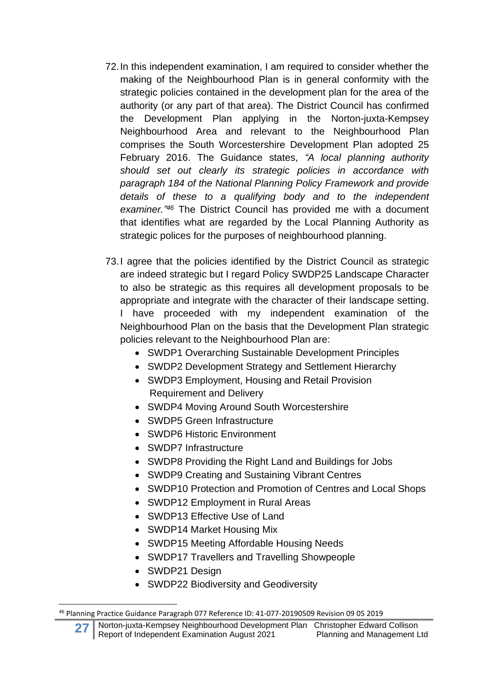- 72.In this independent examination, I am required to consider whether the making of the Neighbourhood Plan is in general conformity with the strategic policies contained in the development plan for the area of the authority (or any part of that area). The District Council has confirmed the Development Plan applying in the Norton-juxta-Kempsey Neighbourhood Area and relevant to the Neighbourhood Plan comprises the South Worcestershire Development Plan adopted 25 February 2016. The Guidance states, *"A local planning authority should set out clearly its strategic policies in accordance with paragraph 184 of the National Planning Policy Framework and provide details of these to a qualifying body and to the independent examiner." <sup>46</sup>* The District Council has provided me with a document that identifies what are regarded by the Local Planning Authority as strategic polices for the purposes of neighbourhood planning.
- 73.I agree that the policies identified by the District Council as strategic are indeed strategic but I regard Policy SWDP25 Landscape Character to also be strategic as this requires all development proposals to be appropriate and integrate with the character of their landscape setting. I have proceeded with my independent examination of the Neighbourhood Plan on the basis that the Development Plan strategic policies relevant to the Neighbourhood Plan are:
	- SWDP1 Overarching Sustainable Development Principles
	- SWDP2 Development Strategy and Settlement Hierarchy
	- SWDP3 Employment, Housing and Retail Provision Requirement and Delivery
	- SWDP4 Moving Around South Worcestershire
	- SWDP5 Green Infrastructure
	- SWDP6 Historic Environment
	- SWDP7 Infrastructure
	- SWDP8 Providing the Right Land and Buildings for Jobs
	- SWDP9 Creating and Sustaining Vibrant Centres
	- SWDP10 Protection and Promotion of Centres and Local Shops
	- SWDP12 Employment in Rural Areas
	- SWDP13 Effective Use of Land
	- SWDP14 Market Housing Mix
	- SWDP15 Meeting Affordable Housing Needs
	- SWDP17 Travellers and Travelling Showpeople
	- SWDP21 Design
	- SWDP22 Biodiversity and Geodiversity

<sup>46</sup> Planning Practice Guidance Paragraph 077 Reference ID: 41-077-20190509 Revision 09 05 2019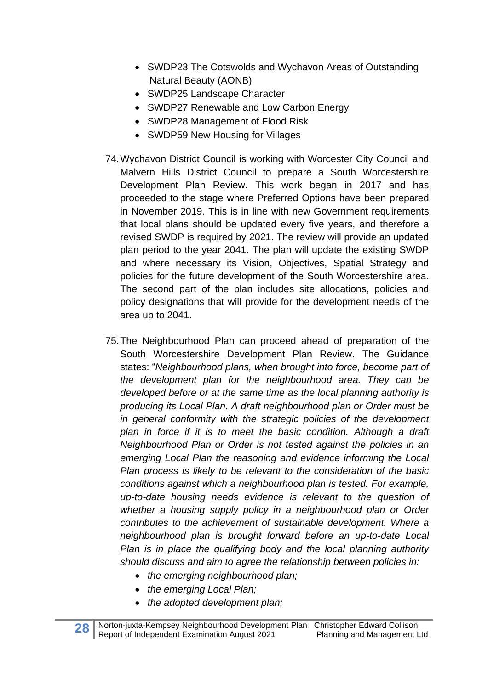- SWDP23 The Cotswolds and Wychavon Areas of Outstanding Natural Beauty (AONB)
- SWDP25 Landscape Character
- SWDP27 Renewable and Low Carbon Energy
- SWDP28 Management of Flood Risk
- SWDP59 New Housing for Villages
- 74.Wychavon District Council is working with Worcester City Council and Malvern Hills District Council to prepare a South Worcestershire Development Plan Review. This work began in 2017 and has proceeded to the stage where Preferred Options have been prepared in November 2019. This is in line with new Government requirements that local plans should be updated every five years, and therefore a revised SWDP is required by 2021. The review will provide an updated plan period to the year 2041. The plan will update the existing SWDP and where necessary its Vision, Objectives, Spatial Strategy and policies for the future development of the South Worcestershire area. The second part of the plan includes site allocations, policies and policy designations that will provide for the development needs of the area up to 2041.
- 75.The Neighbourhood Plan can proceed ahead of preparation of the South Worcestershire Development Plan Review. The Guidance states: "*Neighbourhood plans, when brought into force, become part of the development plan for the neighbourhood area. They can be developed before or at the same time as the local planning authority is producing its Local Plan. A draft neighbourhood plan or Order must be in general conformity with the strategic policies of the development plan in force if it is to meet the basic condition. Although a draft Neighbourhood Plan or Order is not tested against the policies in an emerging Local Plan the reasoning and evidence informing the Local Plan process is likely to be relevant to the consideration of the basic conditions against which a neighbourhood plan is tested. For example, up-to-date housing needs evidence is relevant to the question of whether a housing supply policy in a neighbourhood plan or Order contributes to the achievement of sustainable development. Where a neighbourhood plan is brought forward before an up-to-date Local Plan is in place the qualifying body and the local planning authority should discuss and aim to agree the relationship between policies in:*
	- *the emerging neighbourhood plan;*
	- *the emerging Local Plan;*
	- *the adopted development plan;*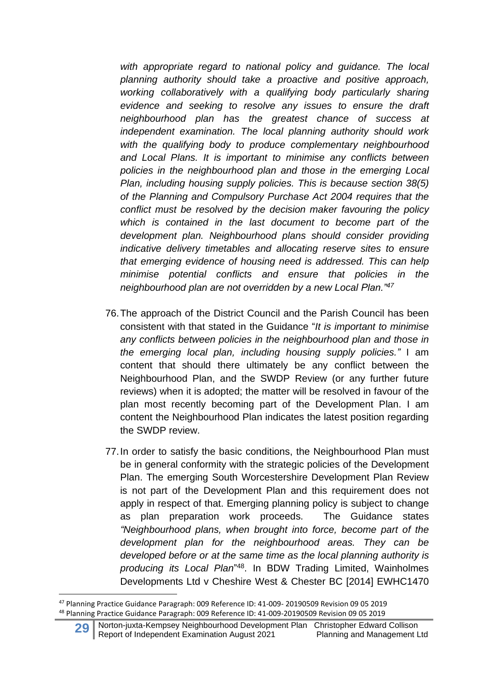*with appropriate regard to national policy and guidance. The local planning authority should take a proactive and positive approach, working collaboratively with a qualifying body particularly sharing evidence and seeking to resolve any issues to ensure the draft neighbourhood plan has the greatest chance of success at independent examination. The local planning authority should work with the qualifying body to produce complementary neighbourhood and Local Plans. It is important to minimise any conflicts between policies in the neighbourhood plan and those in the emerging Local Plan, including housing supply policies. This is because section 38(5) of the Planning and Compulsory Purchase Act 2004 requires that the conflict must be resolved by the decision maker favouring the policy which is contained in the last document to become part of the development plan. Neighbourhood plans should consider providing indicative delivery timetables and allocating reserve sites to ensure that emerging evidence of housing need is addressed. This can help minimise potential conflicts and ensure that policies in the neighbourhood plan are not overridden by a new Local Plan."<sup>47</sup>*

- 76.The approach of the District Council and the Parish Council has been consistent with that stated in the Guidance "*It is important to minimise any conflicts between policies in the neighbourhood plan and those in the emerging local plan, including housing supply policies."* I am content that should there ultimately be any conflict between the Neighbourhood Plan, and the SWDP Review (or any further future reviews) when it is adopted; the matter will be resolved in favour of the plan most recently becoming part of the Development Plan. I am content the Neighbourhood Plan indicates the latest position regarding the SWDP review.
- 77.In order to satisfy the basic conditions, the Neighbourhood Plan must be in general conformity with the strategic policies of the Development Plan. The emerging South Worcestershire Development Plan Review is not part of the Development Plan and this requirement does not apply in respect of that. Emerging planning policy is subject to change as plan preparation work proceeds. The Guidance states *"Neighbourhood plans, when brought into force, become part of the development plan for the neighbourhood areas. They can be developed before or at the same time as the local planning authority is producing its Local Plan*" 48 . In BDW Trading Limited, Wainholmes Developments Ltd v Cheshire West & Chester BC [2014] EWHC1470

<sup>47</sup> Planning Practice Guidance Paragraph: 009 Reference ID: 41-009- 20190509 Revision 09 05 2019 <sup>48</sup> Planning Practice Guidance Paragraph: 009 Reference ID: 41-009-20190509 Revision 09 05 2019

**<sup>29</sup>** Norton-juxta-Kempsey Neighbourhood Development Plan Christopher Edward Collison<br>Report of Independent Examination August 2021 Planning and Management Ltd Report of Independent Examination August 2021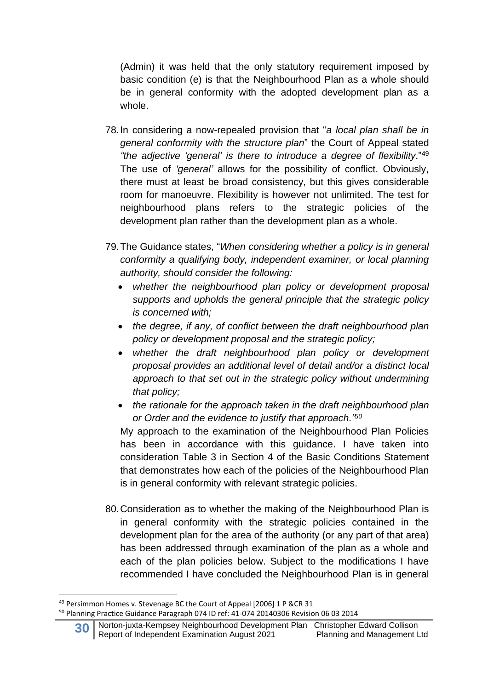(Admin) it was held that the only statutory requirement imposed by basic condition (e) is that the Neighbourhood Plan as a whole should be in general conformity with the adopted development plan as a whole.

- 78.In considering a now-repealed provision that "*a local plan shall be in general conformity with the structure plan*" the Court of Appeal stated *"the adjective 'general' is there to introduce a degree of flexibility*."<sup>49</sup> The use of *'general'* allows for the possibility of conflict. Obviously, there must at least be broad consistency, but this gives considerable room for manoeuvre. Flexibility is however not unlimited. The test for neighbourhood plans refers to the strategic policies of the development plan rather than the development plan as a whole.
- 79.The Guidance states, "*When considering whether a policy is in general conformity a qualifying body, independent examiner, or local planning authority, should consider the following:*
	- *whether the neighbourhood plan policy or development proposal supports and upholds the general principle that the strategic policy is concerned with;*
	- *the degree, if any, of conflict between the draft neighbourhood plan policy or development proposal and the strategic policy;*
	- *whether the draft neighbourhood plan policy or development proposal provides an additional level of detail and/or a distinct local approach to that set out in the strategic policy without undermining that policy;*
	- *the rationale for the approach taken in the draft neighbourhood plan or Order and the evidence to justify that approach."<sup>50</sup>*

My approach to the examination of the Neighbourhood Plan Policies has been in accordance with this guidance. I have taken into consideration Table 3 in Section 4 of the Basic Conditions Statement that demonstrates how each of the policies of the Neighbourhood Plan is in general conformity with relevant strategic policies.

80.Consideration as to whether the making of the Neighbourhood Plan is in general conformity with the strategic policies contained in the development plan for the area of the authority (or any part of that area) has been addressed through examination of the plan as a whole and each of the plan policies below. Subject to the modifications I have recommended I have concluded the Neighbourhood Plan is in general

<sup>49</sup> Persimmon Homes v. Stevenage BC the Court of Appeal [2006] 1 P &CR 31

<sup>50</sup> Planning Practice Guidance Paragraph 074 ID ref: 41-074 20140306 Revision 06 03 2014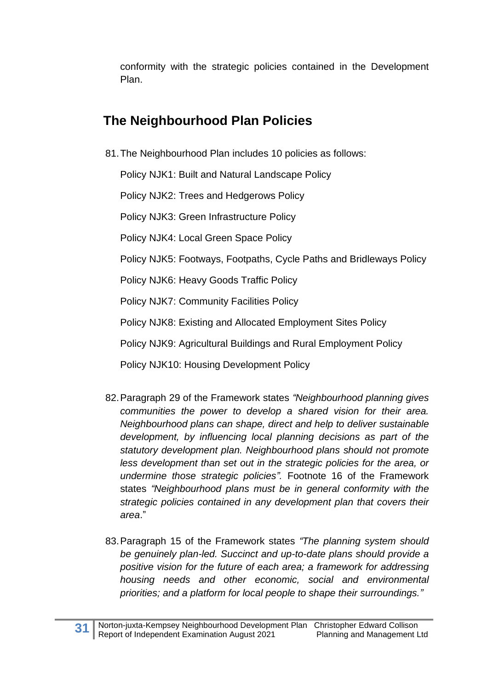conformity with the strategic policies contained in the Development Plan.

# **The Neighbourhood Plan Policies**

81.The Neighbourhood Plan includes 10 policies as follows:

Policy NJK1: Built and Natural Landscape Policy

Policy NJK2: Trees and Hedgerows Policy

Policy NJK3: Green Infrastructure Policy

Policy NJK4: Local Green Space Policy

Policy NJK5: Footways, Footpaths, Cycle Paths and Bridleways Policy

Policy NJK6: Heavy Goods Traffic Policy

Policy NJK7: Community Facilities Policy

Policy NJK8: Existing and Allocated Employment Sites Policy

Policy NJK9: Agricultural Buildings and Rural Employment Policy

Policy NJK10: Housing Development Policy

- 82.Paragraph 29 of the Framework states *"Neighbourhood planning gives communities the power to develop a shared vision for their area. Neighbourhood plans can shape, direct and help to deliver sustainable development, by influencing local planning decisions as part of the statutory development plan. Neighbourhood plans should not promote less development than set out in the strategic policies for the area, or undermine those strategic policies".* Footnote 16 of the Framework states *"Neighbourhood plans must be in general conformity with the strategic policies contained in any development plan that covers their area*."
- 83.Paragraph 15 of the Framework states *"The planning system should be genuinely plan-led. Succinct and up-to-date plans should provide a positive vision for the future of each area; a framework for addressing housing needs and other economic, social and environmental priorities; and a platform for local people to shape their surroundings."*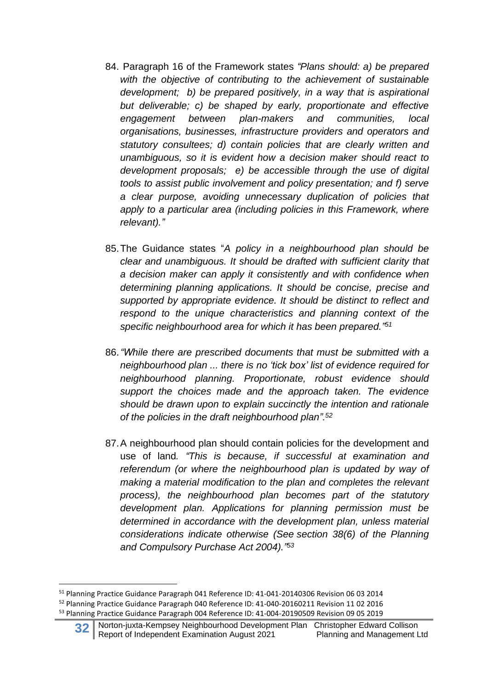- 84. Paragraph 16 of the Framework states *"Plans should: a) be prepared with the objective of contributing to the achievement of sustainable development; b) be prepared positively, in a way that is aspirational but deliverable; c) be shaped by early, proportionate and effective engagement between plan-makers and communities, local organisations, businesses, infrastructure providers and operators and statutory consultees; d) contain policies that are clearly written and unambiguous, so it is evident how a decision maker should react to development proposals; e) be accessible through the use of digital tools to assist public involvement and policy presentation; and f) serve a clear purpose, avoiding unnecessary duplication of policies that apply to a particular area (including policies in this Framework, where relevant)."*
- 85.The Guidance states "*A policy in a neighbourhood plan should be clear and unambiguous. It should be drafted with sufficient clarity that a decision maker can apply it consistently and with confidence when determining planning applications. It should be concise, precise and supported by appropriate evidence. It should be distinct to reflect and respond to the unique characteristics and planning context of the specific neighbourhood area for which it has been prepared." 51*
- 86.*"While there are prescribed documents that must be submitted with a neighbourhood plan ... there is no 'tick box' list of evidence required for neighbourhood planning. Proportionate, robust evidence should support the choices made and the approach taken. The evidence should be drawn upon to explain succinctly the intention and rationale of the policies in the draft neighbourhood plan".<sup>52</sup>*
- 87.A neighbourhood plan should contain policies for the development and use of land*. "This is because, if successful at examination and referendum (or where the neighbourhood plan is updated by way of making a material modification to the plan and completes the relevant process), the neighbourhood plan becomes part of the statutory development plan. Applications for planning permission must be determined in accordance with the development plan, unless material considerations indicate otherwise (See section 38(6) of the Planning and Compulsory Purchase Act 2004)." 53*

<sup>51</sup> Planning Practice Guidance Paragraph 041 Reference ID: 41-041-20140306 Revision 06 03 2014 <sup>52</sup> Planning Practice Guidance Paragraph 040 Reference ID: 41-040-20160211 Revision 11 02 2016 <sup>53</sup> Planning Practice Guidance Paragraph 004 Reference ID: 41-004-20190509 Revision 09 05 2019

**<sup>32</sup>** Norton-juxta-Kempsey Neighbourhood Development Plan Christopher Edward Collison<br>Report of Independent Examination August 2021 Planning and Management Ltd Report of Independent Examination August 2021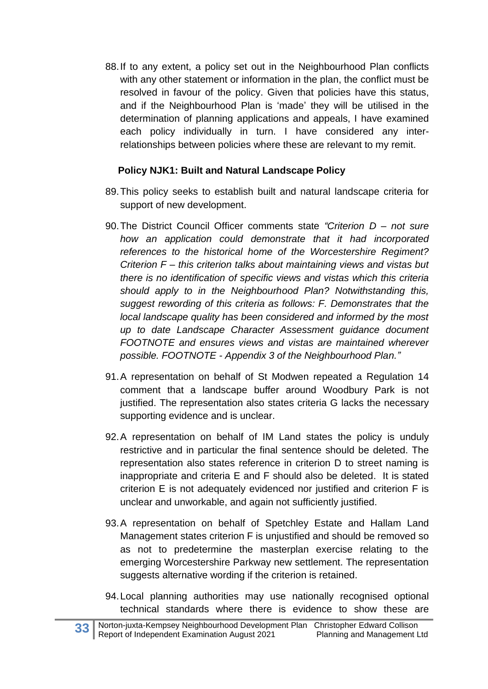88.If to any extent, a policy set out in the Neighbourhood Plan conflicts with any other statement or information in the plan, the conflict must be resolved in favour of the policy. Given that policies have this status, and if the Neighbourhood Plan is 'made' they will be utilised in the determination of planning applications and appeals, I have examined each policy individually in turn. I have considered any interrelationships between policies where these are relevant to my remit.

#### **Policy NJK1: Built and Natural Landscape Policy**

- 89.This policy seeks to establish built and natural landscape criteria for support of new development.
- 90.The District Council Officer comments state *"Criterion D – not sure how an application could demonstrate that it had incorporated references to the historical home of the Worcestershire Regiment? Criterion F – this criterion talks about maintaining views and vistas but there is no identification of specific views and vistas which this criteria should apply to in the Neighbourhood Plan? Notwithstanding this, suggest rewording of this criteria as follows: F. Demonstrates that the local landscape quality has been considered and informed by the most up to date Landscape Character Assessment guidance document FOOTNOTE and ensures views and vistas are maintained wherever possible. FOOTNOTE - Appendix 3 of the Neighbourhood Plan."*
- 91.A representation on behalf of St Modwen repeated a Regulation 14 comment that a landscape buffer around Woodbury Park is not justified. The representation also states criteria G lacks the necessary supporting evidence and is unclear.
- 92.A representation on behalf of IM Land states the policy is unduly restrictive and in particular the final sentence should be deleted. The representation also states reference in criterion D to street naming is inappropriate and criteria E and F should also be deleted. It is stated criterion E is not adequately evidenced nor justified and criterion F is unclear and unworkable, and again not sufficiently justified.
- 93.A representation on behalf of Spetchley Estate and Hallam Land Management states criterion F is unjustified and should be removed so as not to predetermine the masterplan exercise relating to the emerging Worcestershire Parkway new settlement. The representation suggests alternative wording if the criterion is retained.
- 94.Local planning authorities may use nationally recognised optional technical standards where there is evidence to show these are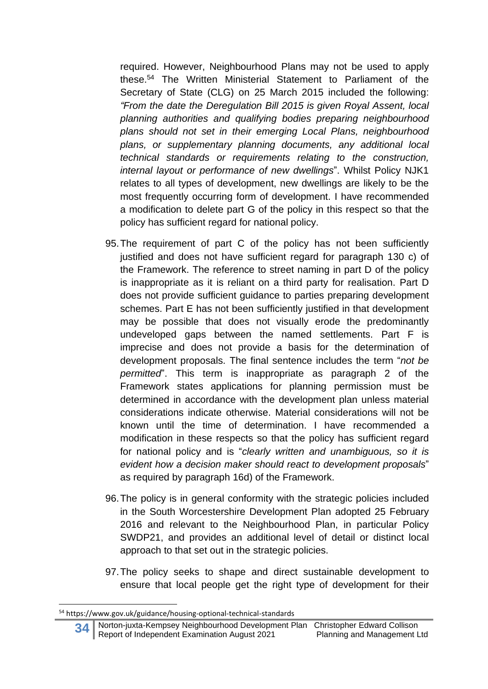required. However, Neighbourhood Plans may not be used to apply these.<sup>54</sup> The Written Ministerial Statement to Parliament of the Secretary of State (CLG) on 25 March 2015 included the following: *"From the date the Deregulation Bill 2015 is given Royal Assent, local planning authorities and qualifying bodies preparing neighbourhood plans should not set in their emerging Local Plans, neighbourhood plans, or supplementary planning documents, any additional local technical standards or requirements relating to the construction, internal layout or performance of new dwellings*". Whilst Policy NJK1 relates to all types of development, new dwellings are likely to be the most frequently occurring form of development. I have recommended a modification to delete part G of the policy in this respect so that the policy has sufficient regard for national policy.

- 95.The requirement of part C of the policy has not been sufficiently justified and does not have sufficient regard for paragraph 130 c) of the Framework. The reference to street naming in part D of the policy is inappropriate as it is reliant on a third party for realisation. Part D does not provide sufficient guidance to parties preparing development schemes. Part E has not been sufficiently justified in that development may be possible that does not visually erode the predominantly undeveloped gaps between the named settlements. Part F is imprecise and does not provide a basis for the determination of development proposals. The final sentence includes the term "*not be permitted*". This term is inappropriate as paragraph 2 of the Framework states applications for planning permission must be determined in accordance with the development plan unless material considerations indicate otherwise. Material considerations will not be known until the time of determination. I have recommended a modification in these respects so that the policy has sufficient regard for national policy and is "*clearly written and unambiguous, so it is evident how a decision maker should react to development proposals*" as required by paragraph 16d) of the Framework.
- 96.The policy is in general conformity with the strategic policies included in the South Worcestershire Development Plan adopted 25 February 2016 and relevant to the Neighbourhood Plan, in particular Policy SWDP21, and provides an additional level of detail or distinct local approach to that set out in the strategic policies.
- 97.The policy seeks to shape and direct sustainable development to ensure that local people get the right type of development for their

<sup>54</sup> https://www.gov.uk/guidance/housing-optional-technical-standards

**<sup>34</sup>** Norton-juxta-Kempsey Neighbourhood Development Plan Christopher Edward Collison Report of Independent Examination August 2021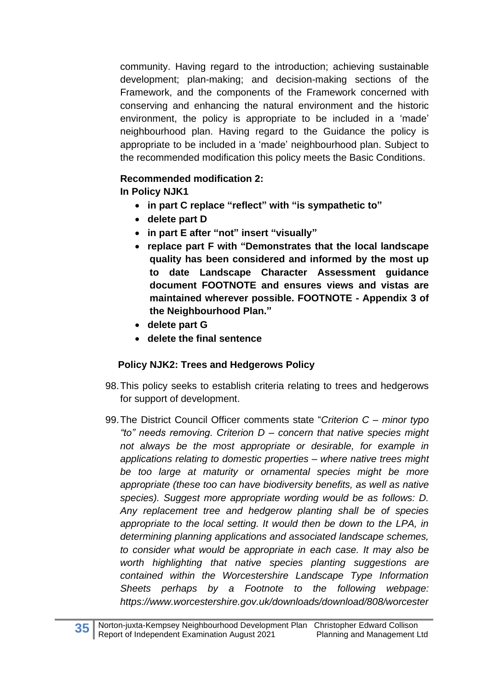community. Having regard to the introduction; achieving sustainable development; plan-making; and decision-making sections of the Framework, and the components of the Framework concerned with conserving and enhancing the natural environment and the historic environment, the policy is appropriate to be included in a 'made' neighbourhood plan. Having regard to the Guidance the policy is appropriate to be included in a 'made' neighbourhood plan. Subject to the recommended modification this policy meets the Basic Conditions.

#### **Recommended modification 2:**

**In Policy NJK1** 

- **in part C replace "reflect" with "is sympathetic to"**
- **delete part D**
- **in part E after "not" insert "visually"**
- **replace part F with "Demonstrates that the local landscape quality has been considered and informed by the most up to date Landscape Character Assessment guidance document FOOTNOTE and ensures views and vistas are maintained wherever possible. FOOTNOTE - Appendix 3 of the Neighbourhood Plan."**
- **delete part G**
- **delete the final sentence**

#### **Policy NJK2: Trees and Hedgerows Policy**

- 98.This policy seeks to establish criteria relating to trees and hedgerows for support of development.
- 99.The District Council Officer comments state "*Criterion C – minor typo "to" needs removing. Criterion D – concern that native species might not always be the most appropriate or desirable, for example in applications relating to domestic properties – where native trees might be too large at maturity or ornamental species might be more appropriate (these too can have biodiversity benefits, as well as native species). Suggest more appropriate wording would be as follows: D. Any replacement tree and hedgerow planting shall be of species appropriate to the local setting. It would then be down to the LPA, in determining planning applications and associated landscape schemes, to consider what would be appropriate in each case. It may also be worth highlighting that native species planting suggestions are contained within the Worcestershire Landscape Type Information Sheets perhaps by a Footnote to the following webpage: https://www.worcestershire.gov.uk/downloads/download/808/worcester*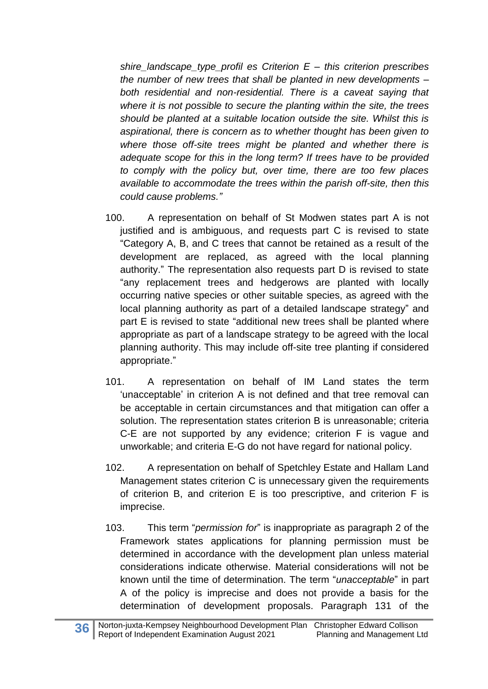*shire\_landscape\_type\_profil es Criterion E – this criterion prescribes the number of new trees that shall be planted in new developments – both residential and non-residential. There is a caveat saying that where it is not possible to secure the planting within the site, the trees should be planted at a suitable location outside the site. Whilst this is aspirational, there is concern as to whether thought has been given to where those off-site trees might be planted and whether there is adequate scope for this in the long term? If trees have to be provided to comply with the policy but, over time, there are too few places available to accommodate the trees within the parish off-site, then this could cause problems."*

- 100. A representation on behalf of St Modwen states part A is not justified and is ambiguous, and requests part C is revised to state "Category A, B, and C trees that cannot be retained as a result of the development are replaced, as agreed with the local planning authority." The representation also requests part D is revised to state "any replacement trees and hedgerows are planted with locally occurring native species or other suitable species, as agreed with the local planning authority as part of a detailed landscape strategy" and part E is revised to state "additional new trees shall be planted where appropriate as part of a landscape strategy to be agreed with the local planning authority. This may include off-site tree planting if considered appropriate."
- 101. A representation on behalf of IM Land states the term 'unacceptable' in criterion A is not defined and that tree removal can be acceptable in certain circumstances and that mitigation can offer a solution. The representation states criterion B is unreasonable; criteria C-E are not supported by any evidence; criterion F is vague and unworkable; and criteria E-G do not have regard for national policy.
- 102. A representation on behalf of Spetchley Estate and Hallam Land Management states criterion C is unnecessary given the requirements of criterion B, and criterion E is too prescriptive, and criterion F is imprecise.
- 103. This term "*permission for*" is inappropriate as paragraph 2 of the Framework states applications for planning permission must be determined in accordance with the development plan unless material considerations indicate otherwise. Material considerations will not be known until the time of determination. The term "*unacceptable*" in part A of the policy is imprecise and does not provide a basis for the determination of development proposals. Paragraph 131 of the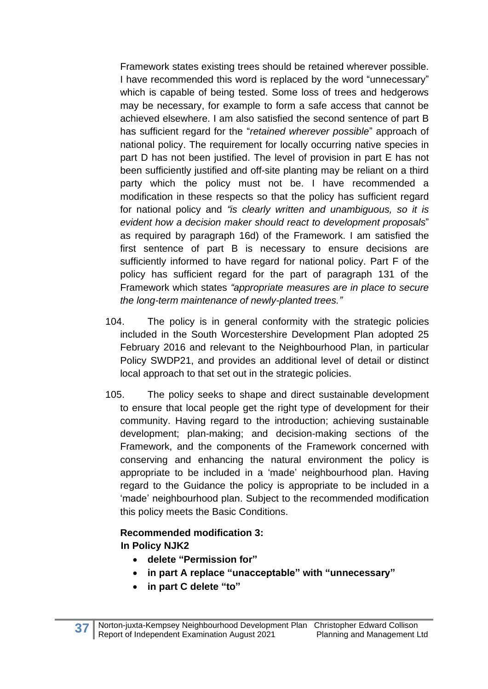Framework states existing trees should be retained wherever possible. I have recommended this word is replaced by the word "unnecessary" which is capable of being tested. Some loss of trees and hedgerows may be necessary, for example to form a safe access that cannot be achieved elsewhere. I am also satisfied the second sentence of part B has sufficient regard for the "*retained wherever possible*" approach of national policy. The requirement for locally occurring native species in part D has not been justified. The level of provision in part E has not been sufficiently justified and off-site planting may be reliant on a third party which the policy must not be. I have recommended a modification in these respects so that the policy has sufficient regard for national policy and *"is clearly written and unambiguous, so it is evident how a decision maker should react to development proposals*" as required by paragraph 16d) of the Framework. I am satisfied the first sentence of part B is necessary to ensure decisions are sufficiently informed to have regard for national policy. Part F of the policy has sufficient regard for the part of paragraph 131 of the Framework which states *"appropriate measures are in place to secure the long-term maintenance of newly-planted trees."*

- 104. The policy is in general conformity with the strategic policies included in the South Worcestershire Development Plan adopted 25 February 2016 and relevant to the Neighbourhood Plan, in particular Policy SWDP21, and provides an additional level of detail or distinct local approach to that set out in the strategic policies.
- 105. The policy seeks to shape and direct sustainable development to ensure that local people get the right type of development for their community. Having regard to the introduction; achieving sustainable development; plan-making; and decision-making sections of the Framework, and the components of the Framework concerned with conserving and enhancing the natural environment the policy is appropriate to be included in a 'made' neighbourhood plan. Having regard to the Guidance the policy is appropriate to be included in a 'made' neighbourhood plan. Subject to the recommended modification this policy meets the Basic Conditions.

## **Recommended modification 3: In Policy NJK2**

- **delete "Permission for"**
- **in part A replace "unacceptable" with "unnecessary"**
- **in part C delete "to"**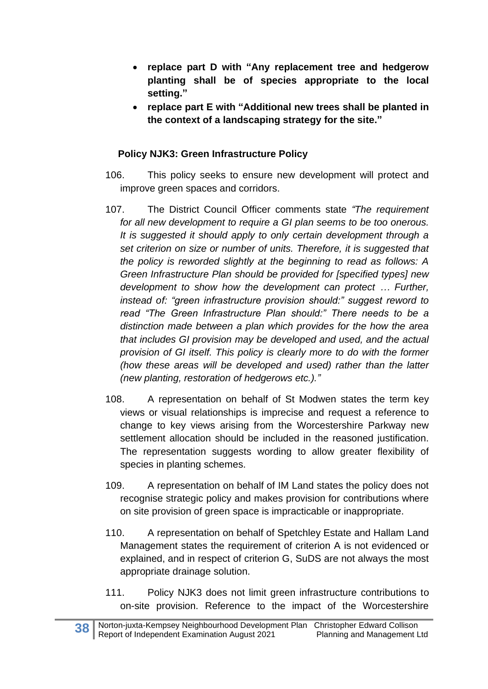- **replace part D with "Any replacement tree and hedgerow planting shall be of species appropriate to the local setting."**
- **replace part E with "Additional new trees shall be planted in the context of a landscaping strategy for the site."**

## **Policy NJK3: Green Infrastructure Policy**

- 106. This policy seeks to ensure new development will protect and improve green spaces and corridors.
- 107. The District Council Officer comments state *"The requirement for all new development to require a GI plan seems to be too onerous. It is suggested it should apply to only certain development through a set criterion on size or number of units. Therefore, it is suggested that the policy is reworded slightly at the beginning to read as follows: A Green Infrastructure Plan should be provided for [specified types] new development to show how the development can protect … Further, instead of: "green infrastructure provision should:" suggest reword to read "The Green Infrastructure Plan should:" There needs to be a distinction made between a plan which provides for the how the area that includes GI provision may be developed and used, and the actual provision of GI itself. This policy is clearly more to do with the former (how these areas will be developed and used) rather than the latter (new planting, restoration of hedgerows etc.)."*
- 108. A representation on behalf of St Modwen states the term key views or visual relationships is imprecise and request a reference to change to key views arising from the Worcestershire Parkway new settlement allocation should be included in the reasoned justification. The representation suggests wording to allow greater flexibility of species in planting schemes.
- 109. A representation on behalf of IM Land states the policy does not recognise strategic policy and makes provision for contributions where on site provision of green space is impracticable or inappropriate.
- 110. A representation on behalf of Spetchley Estate and Hallam Land Management states the requirement of criterion A is not evidenced or explained, and in respect of criterion G, SuDS are not always the most appropriate drainage solution.
- 111. Policy NJK3 does not limit green infrastructure contributions to on-site provision. Reference to the impact of the Worcestershire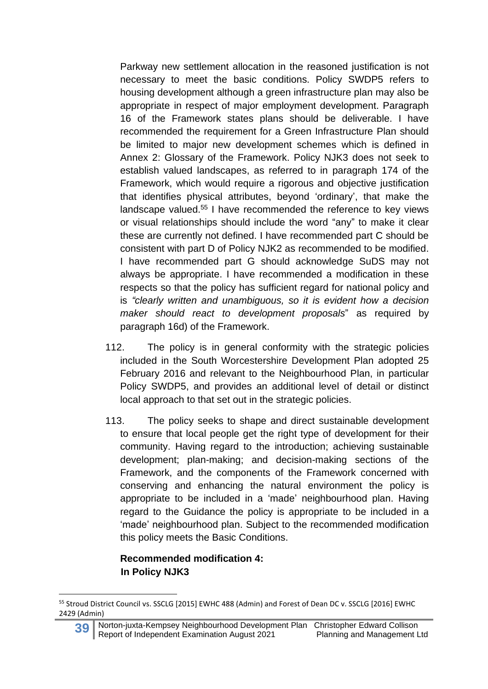Parkway new settlement allocation in the reasoned justification is not necessary to meet the basic conditions. Policy SWDP5 refers to housing development although a green infrastructure plan may also be appropriate in respect of major employment development. Paragraph 16 of the Framework states plans should be deliverable. I have recommended the requirement for a Green Infrastructure Plan should be limited to major new development schemes which is defined in Annex 2: Glossary of the Framework. Policy NJK3 does not seek to establish valued landscapes, as referred to in paragraph 174 of the Framework, which would require a rigorous and objective justification that identifies physical attributes, beyond 'ordinary', that make the landscape valued.<sup>55</sup> I have recommended the reference to key views or visual relationships should include the word "any" to make it clear these are currently not defined. I have recommended part C should be consistent with part D of Policy NJK2 as recommended to be modified. I have recommended part G should acknowledge SuDS may not always be appropriate. I have recommended a modification in these respects so that the policy has sufficient regard for national policy and is *"clearly written and unambiguous, so it is evident how a decision maker should react to development proposals*" as required by paragraph 16d) of the Framework.

- 112. The policy is in general conformity with the strategic policies included in the South Worcestershire Development Plan adopted 25 February 2016 and relevant to the Neighbourhood Plan, in particular Policy SWDP5, and provides an additional level of detail or distinct local approach to that set out in the strategic policies.
- 113. The policy seeks to shape and direct sustainable development to ensure that local people get the right type of development for their community. Having regard to the introduction; achieving sustainable development; plan-making; and decision-making sections of the Framework, and the components of the Framework concerned with conserving and enhancing the natural environment the policy is appropriate to be included in a 'made' neighbourhood plan. Having regard to the Guidance the policy is appropriate to be included in a 'made' neighbourhood plan. Subject to the recommended modification this policy meets the Basic Conditions.

#### **Recommended modification 4: In Policy NJK3**

<sup>55</sup> Stroud District Council vs. SSCLG [2015] EWHC 488 (Admin) and Forest of Dean DC v. SSCLG [2016] EWHC 2429 (Admin)

**<sup>39</sup>** Norton-juxta-Kempsey Neighbourhood Development Plan Christopher Edward Collison<br>Report of Independent Examination August 2021 Planning and Management Ltd Report of Independent Examination August 2021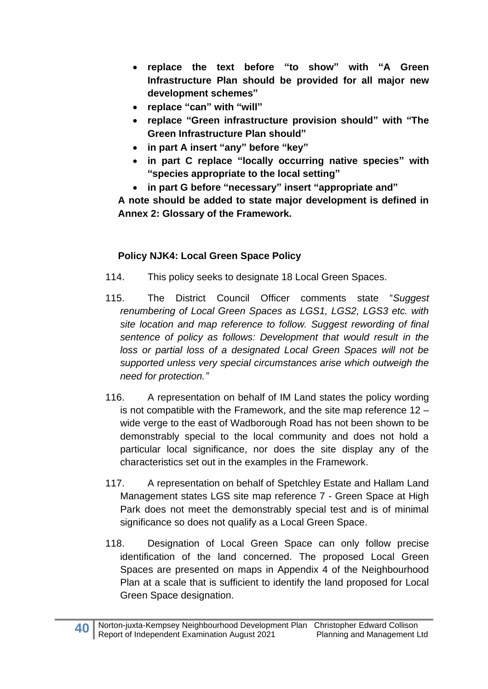- **replace the text before "to show" with "A Green Infrastructure Plan should be provided for all major new development schemes"**
- **replace "can" with "will"**
- **replace "Green infrastructure provision should" with "The Green Infrastructure Plan should"**
- **in part A insert "any" before "key"**
- **in part C replace "locally occurring native species" with "species appropriate to the local setting"**
- **in part G before "necessary" insert "appropriate and"**

**A note should be added to state major development is defined in Annex 2: Glossary of the Framework.**

## **Policy NJK4: Local Green Space Policy**

- 114. This policy seeks to designate 18 Local Green Spaces.
- 115. The District Council Officer comments state "*Suggest renumbering of Local Green Spaces as LGS1, LGS2, LGS3 etc. with site location and map reference to follow. Suggest rewording of final sentence of policy as follows: Development that would result in the loss or partial loss of a designated Local Green Spaces will not be supported unless very special circumstances arise which outweigh the need for protection."*
- 116. A representation on behalf of IM Land states the policy wording is not compatible with the Framework, and the site map reference 12 – wide verge to the east of Wadborough Road has not been shown to be demonstrably special to the local community and does not hold a particular local significance, nor does the site display any of the characteristics set out in the examples in the Framework.
- 117. A representation on behalf of Spetchley Estate and Hallam Land Management states LGS site map reference 7 - Green Space at High Park does not meet the demonstrably special test and is of minimal significance so does not qualify as a Local Green Space.
- 118. Designation of Local Green Space can only follow precise identification of the land concerned. The proposed Local Green Spaces are presented on maps in Appendix 4 of the Neighbourhood Plan at a scale that is sufficient to identify the land proposed for Local Green Space designation.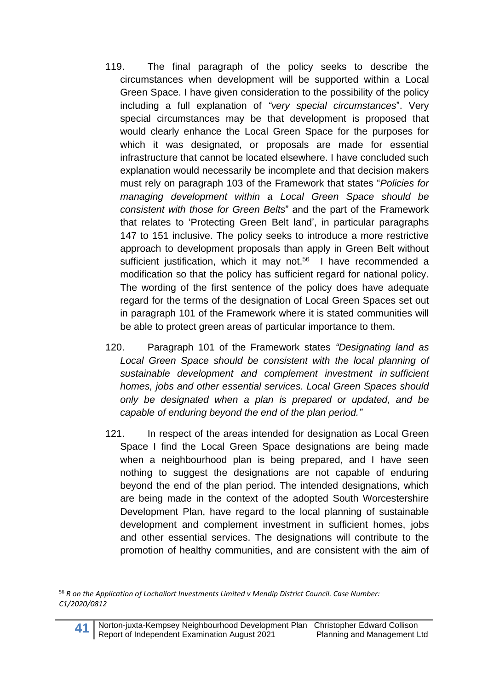- 119. The final paragraph of the policy seeks to describe the circumstances when development will be supported within a Local Green Space. I have given consideration to the possibility of the policy including a full explanation of *"very special circumstances*". Very special circumstances may be that development is proposed that would clearly enhance the Local Green Space for the purposes for which it was designated, or proposals are made for essential infrastructure that cannot be located elsewhere. I have concluded such explanation would necessarily be incomplete and that decision makers must rely on paragraph 103 of the Framework that states "*Policies for managing development within a Local Green Space should be consistent with those for Green Belts*" and the part of the Framework that relates to 'Protecting Green Belt land', in particular paragraphs 147 to 151 inclusive. The policy seeks to introduce a more restrictive approach to development proposals than apply in Green Belt without sufficient justification, which it may not.<sup>56</sup> I have recommended a modification so that the policy has sufficient regard for national policy. The wording of the first sentence of the policy does have adequate regard for the terms of the designation of Local Green Spaces set out in paragraph 101 of the Framework where it is stated communities will be able to protect green areas of particular importance to them.
- 120. Paragraph 101 of the Framework states *"Designating land as Local Green Space should be consistent with the local planning of sustainable development and complement investment in sufficient homes, jobs and other essential services. Local Green Spaces should only be designated when a plan is prepared or updated, and be capable of enduring beyond the end of the plan period."*
- 121. In respect of the areas intended for designation as Local Green Space I find the Local Green Space designations are being made when a neighbourhood plan is being prepared, and I have seen nothing to suggest the designations are not capable of enduring beyond the end of the plan period. The intended designations, which are being made in the context of the adopted South Worcestershire Development Plan, have regard to the local planning of sustainable development and complement investment in sufficient homes, jobs and other essential services. The designations will contribute to the promotion of healthy communities, and are consistent with the aim of

<sup>56</sup> *R on the Application of Lochailort Investments Limited v Mendip District Council. Case Number: C1/2020/0812*

**<sup>41</sup>** Norton-juxta-Kempsey Neighbourhood Development Plan Christopher Edward Collison<br>Report of Independent Examination August 2021 Planning and Management Ltd Report of Independent Examination August 2021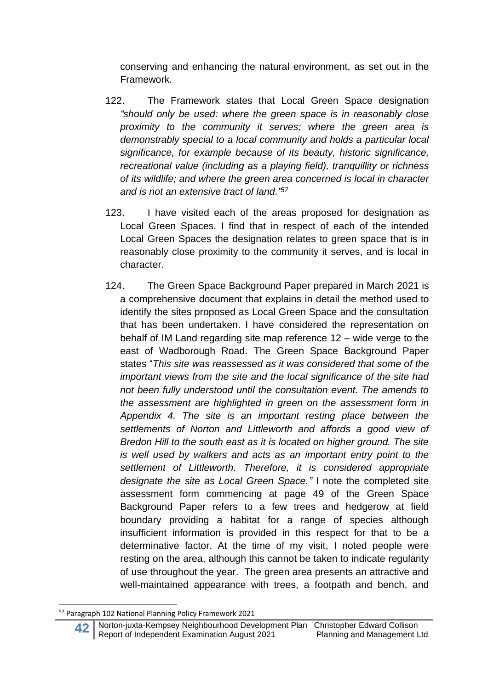conserving and enhancing the natural environment, as set out in the Framework.

- 122. The Framework states that Local Green Space designation *"should only be used: where the green space is in reasonably close proximity to the community it serves; where the green area is demonstrably special to a local community and holds a particular local significance, for example because of its beauty, historic significance, recreational value (including as a playing field), tranquillity or richness of its wildlife; and where the green area concerned is local in character and is not an extensive tract of land."<sup>57</sup>*
- 123. I have visited each of the areas proposed for designation as Local Green Spaces. I find that in respect of each of the intended Local Green Spaces the designation relates to green space that is in reasonably close proximity to the community it serves, and is local in character.
- 124. The Green Space Background Paper prepared in March 2021 is a comprehensive document that explains in detail the method used to identify the sites proposed as Local Green Space and the consultation that has been undertaken. I have considered the representation on behalf of IM Land regarding site map reference 12 – wide verge to the east of Wadborough Road. The Green Space Background Paper states "*This site was reassessed as it was considered that some of the important views from the site and the local significance of the site had not been fully understood until the consultation event. The amends to the assessment are highlighted in green on the assessment form in Appendix 4. The site is an important resting place between the settlements of Norton and Littleworth and affords a good view of Bredon Hill to the south east as it is located on higher ground. The site is well used by walkers and acts as an important entry point to the settlement of Littleworth. Therefore, it is considered appropriate designate the site as Local Green Space."* I note the completed site assessment form commencing at page 49 of the Green Space Background Paper refers to a few trees and hedgerow at field boundary providing a habitat for a range of species although insufficient information is provided in this respect for that to be a determinative factor. At the time of my visit, I noted people were resting on the area, although this cannot be taken to indicate regularity of use throughout the year. The green area presents an attractive and well-maintained appearance with trees, a footpath and bench, and

<sup>57</sup> Paragraph 102 National Planning Policy Framework 2021

**<sup>42</sup>** Norton-juxta-Kempsey Neighbourhood Development Plan Christopher Edward Collison Report of Independent Examination August 2021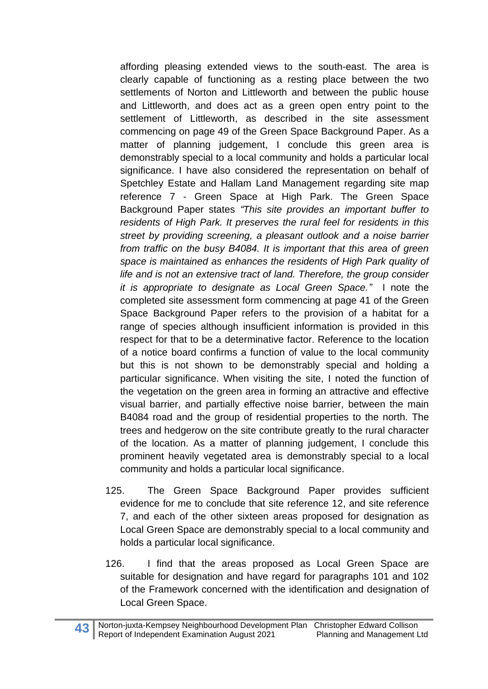affording pleasing extended views to the south-east. The area is clearly capable of functioning as a resting place between the two settlements of Norton and Littleworth and between the public house and Littleworth, and does act as a green open entry point to the settlement of Littleworth, as described in the site assessment commencing on page 49 of the Green Space Background Paper. As a matter of planning judgement, I conclude this green area is demonstrably special to a local community and holds a particular local significance. I have also considered the representation on behalf of Spetchley Estate and Hallam Land Management regarding site map reference 7 - Green Space at High Park. The Green Space Background Paper states *"This site provides an important buffer to residents of High Park. It preserves the rural feel for residents in this street by providing screening, a pleasant outlook and a noise barrier from traffic on the busy B4084. It is important that this area of green space is maintained as enhances the residents of High Park quality of life and is not an extensive tract of land. Therefore, the group consider it is appropriate to designate as Local Green Space."* I note the completed site assessment form commencing at page 41 of the Green Space Background Paper refers to the provision of a habitat for a range of species although insufficient information is provided in this respect for that to be a determinative factor. Reference to the location of a notice board confirms a function of value to the local community but this is not shown to be demonstrably special and holding a particular significance. When visiting the site, I noted the function of the vegetation on the green area in forming an attractive and effective visual barrier, and partially effective noise barrier, between the main B4084 road and the group of residential properties to the north. The trees and hedgerow on the site contribute greatly to the rural character of the location. As a matter of planning judgement, I conclude this prominent heavily vegetated area is demonstrably special to a local community and holds a particular local significance.

- 125. The Green Space Background Paper provides sufficient evidence for me to conclude that site reference 12, and site reference 7, and each of the other sixteen areas proposed for designation as Local Green Space are demonstrably special to a local community and holds a particular local significance.
- 126. I find that the areas proposed as Local Green Space are suitable for designation and have regard for paragraphs 101 and 102 of the Framework concerned with the identification and designation of Local Green Space.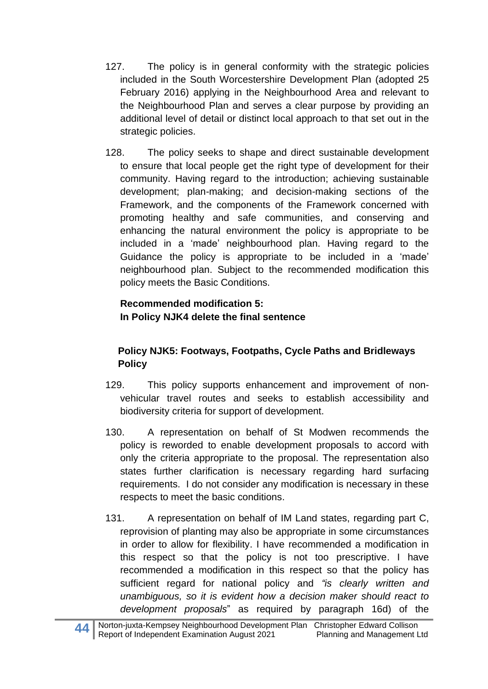- 127. The policy is in general conformity with the strategic policies included in the South Worcestershire Development Plan (adopted 25 February 2016) applying in the Neighbourhood Area and relevant to the Neighbourhood Plan and serves a clear purpose by providing an additional level of detail or distinct local approach to that set out in the strategic policies.
- 128. The policy seeks to shape and direct sustainable development to ensure that local people get the right type of development for their community. Having regard to the introduction; achieving sustainable development; plan-making; and decision-making sections of the Framework, and the components of the Framework concerned with promoting healthy and safe communities, and conserving and enhancing the natural environment the policy is appropriate to be included in a 'made' neighbourhood plan. Having regard to the Guidance the policy is appropriate to be included in a 'made' neighbourhood plan. Subject to the recommended modification this policy meets the Basic Conditions.

# **Recommended modification 5: In Policy NJK4 delete the final sentence**

# **Policy NJK5: Footways, Footpaths, Cycle Paths and Bridleways Policy**

- 129. This policy supports enhancement and improvement of nonvehicular travel routes and seeks to establish accessibility and biodiversity criteria for support of development.
- 130. A representation on behalf of St Modwen recommends the policy is reworded to enable development proposals to accord with only the criteria appropriate to the proposal. The representation also states further clarification is necessary regarding hard surfacing requirements. I do not consider any modification is necessary in these respects to meet the basic conditions.
- 131. A representation on behalf of IM Land states, regarding part C, reprovision of planting may also be appropriate in some circumstances in order to allow for flexibility. I have recommended a modification in this respect so that the policy is not too prescriptive. I have recommended a modification in this respect so that the policy has sufficient regard for national policy and *"is clearly written and unambiguous, so it is evident how a decision maker should react to development proposals*" as required by paragraph 16d) of the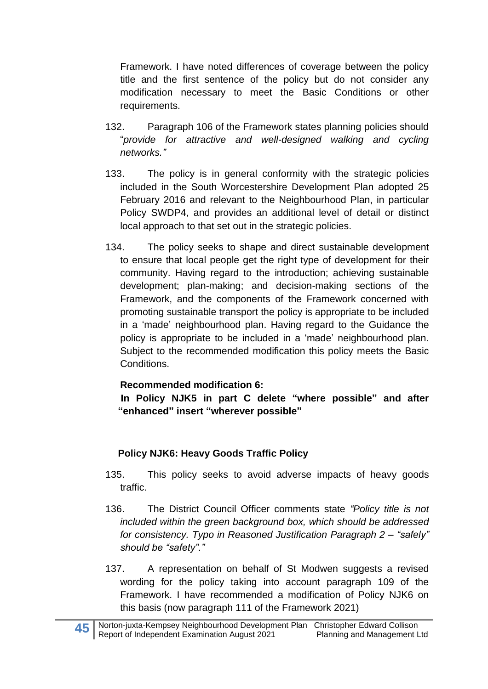Framework. I have noted differences of coverage between the policy title and the first sentence of the policy but do not consider any modification necessary to meet the Basic Conditions or other requirements.

- 132. Paragraph 106 of the Framework states planning policies should "*provide for attractive and well-designed walking and cycling networks."*
- 133. The policy is in general conformity with the strategic policies included in the South Worcestershire Development Plan adopted 25 February 2016 and relevant to the Neighbourhood Plan, in particular Policy SWDP4, and provides an additional level of detail or distinct local approach to that set out in the strategic policies.
- 134. The policy seeks to shape and direct sustainable development to ensure that local people get the right type of development for their community. Having regard to the introduction; achieving sustainable development; plan-making; and decision-making sections of the Framework, and the components of the Framework concerned with promoting sustainable transport the policy is appropriate to be included in a 'made' neighbourhood plan. Having regard to the Guidance the policy is appropriate to be included in a 'made' neighbourhood plan. Subject to the recommended modification this policy meets the Basic Conditions.

## **Recommended modification 6:**

**In Policy NJK5 in part C delete "where possible" and after "enhanced" insert "wherever possible"**

## **Policy NJK6: Heavy Goods Traffic Policy**

- 135. This policy seeks to avoid adverse impacts of heavy goods traffic.
- 136. The District Council Officer comments state *"Policy title is not included within the green background box, which should be addressed for consistency. Typo in Reasoned Justification Paragraph 2 – "safely" should be "safety"."*
- 137. A representation on behalf of St Modwen suggests a revised wording for the policy taking into account paragraph 109 of the Framework. I have recommended a modification of Policy NJK6 on this basis (now paragraph 111 of the Framework 2021)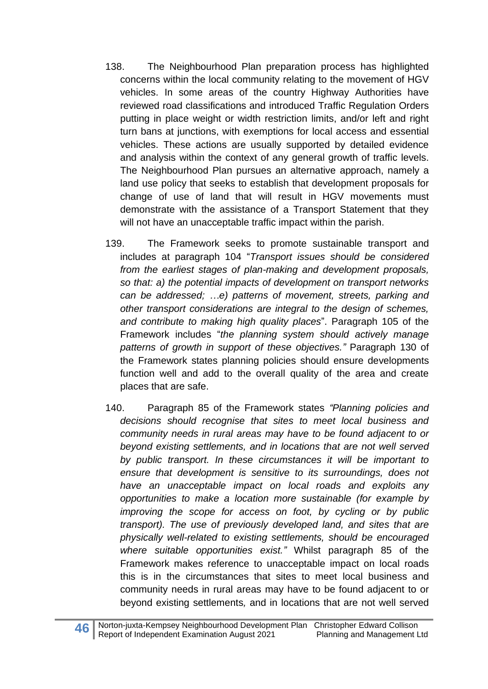- 138. The Neighbourhood Plan preparation process has highlighted concerns within the local community relating to the movement of HGV vehicles. In some areas of the country Highway Authorities have reviewed road classifications and introduced Traffic Regulation Orders putting in place weight or width restriction limits, and/or left and right turn bans at junctions, with exemptions for local access and essential vehicles. These actions are usually supported by detailed evidence and analysis within the context of any general growth of traffic levels. The Neighbourhood Plan pursues an alternative approach, namely a land use policy that seeks to establish that development proposals for change of use of land that will result in HGV movements must demonstrate with the assistance of a Transport Statement that they will not have an unacceptable traffic impact within the parish.
- 139. The Framework seeks to promote sustainable transport and includes at paragraph 104 "*Transport issues should be considered from the earliest stages of plan-making and development proposals, so that: a) the potential impacts of development on transport networks can be addressed; …e) patterns of movement, streets, parking and other transport considerations are integral to the design of schemes, and contribute to making high quality places*". Paragraph 105 of the Framework includes "*the planning system should actively manage patterns of growth in support of these objectives."* Paragraph 130 of the Framework states planning policies should ensure developments function well and add to the overall quality of the area and create places that are safe.
- 140. Paragraph 85 of the Framework states *"Planning policies and decisions should recognise that sites to meet local business and community needs in rural areas may have to be found adjacent to or beyond existing settlements, and in locations that are not well served by public transport. In these circumstances it will be important to ensure that development is sensitive to its surroundings, does not have an unacceptable impact on local roads and exploits any opportunities to make a location more sustainable (for example by improving the scope for access on foot, by cycling or by public transport). The use of previously developed land, and sites that are physically well-related to existing settlements, should be encouraged where suitable opportunities exist."* Whilst paragraph 85 of the Framework makes reference to unacceptable impact on local roads this is in the circumstances that sites to meet local business and community needs in rural areas may have to be found adjacent to or beyond existing settlements*,* and in locations that are not well served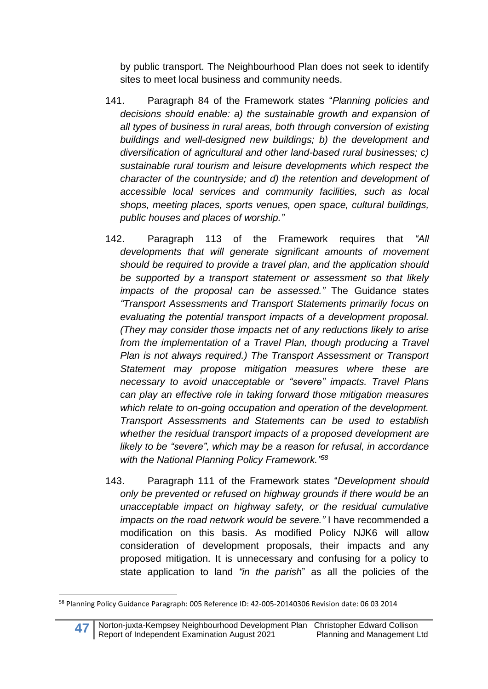by public transport. The Neighbourhood Plan does not seek to identify sites to meet local business and community needs.

- 141. Paragraph 84 of the Framework states "*Planning policies and decisions should enable: a) the sustainable growth and expansion of all types of business in rural areas, both through conversion of existing buildings and well-designed new buildings; b) the development and diversification of agricultural and other land-based rural businesses; c) sustainable rural tourism and leisure developments which respect the character of the countryside; and d) the retention and development of accessible local services and community facilities, such as local shops, meeting places, sports venues, open space, cultural buildings, public houses and places of worship."*
- 142. Paragraph 113 of the Framework requires that *"All developments that will generate significant amounts of movement should be required to provide a travel plan, and the application should be supported by a transport statement or assessment so that likely impacts of the proposal can be assessed."* The Guidance states *"Transport Assessments and Transport Statements primarily focus on evaluating the potential transport impacts of a development proposal. (They may consider those impacts net of any reductions likely to arise from the implementation of a Travel Plan, though producing a Travel Plan is not always required.) The Transport Assessment or Transport Statement may propose mitigation measures where these are necessary to avoid unacceptable or "severe" impacts. Travel Plans can play an effective role in taking forward those mitigation measures which relate to on-going occupation and operation of the development. Transport Assessments and Statements can be used to establish whether the residual transport impacts of a proposed development are likely to be "severe", which may be a reason for refusal, in accordance with the National Planning Policy Framework." 58*
- 143. Paragraph 111 of the Framework states "*Development should only be prevented or refused on highway grounds if there would be an unacceptable impact on highway safety, or the residual cumulative impacts on the road network would be severe."* I have recommended a modification on this basis. As modified Policy NJK6 will allow consideration of development proposals, their impacts and any proposed mitigation. It is unnecessary and confusing for a policy to state application to land *"in the parish*" as all the policies of the

<sup>&</sup>lt;sup>58</sup> Planning Policy Guidance Paragraph: 005 Reference ID: 42-005-20140306 Revision date: 06 03 2014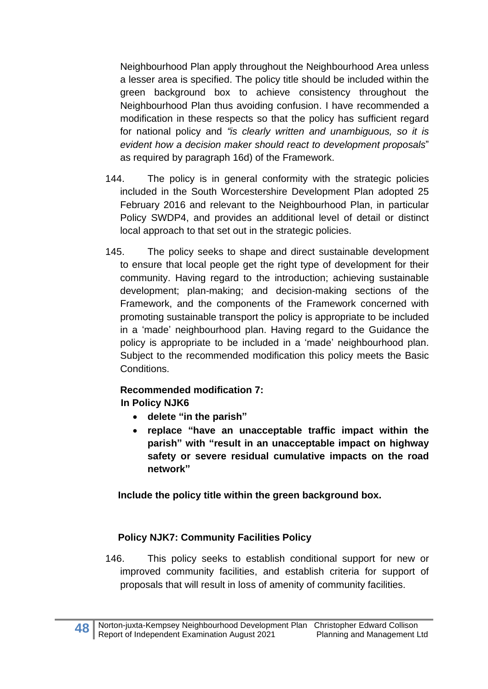Neighbourhood Plan apply throughout the Neighbourhood Area unless a lesser area is specified. The policy title should be included within the green background box to achieve consistency throughout the Neighbourhood Plan thus avoiding confusion. I have recommended a modification in these respects so that the policy has sufficient regard for national policy and *"is clearly written and unambiguous, so it is evident how a decision maker should react to development proposals*" as required by paragraph 16d) of the Framework.

- 144. The policy is in general conformity with the strategic policies included in the South Worcestershire Development Plan adopted 25 February 2016 and relevant to the Neighbourhood Plan, in particular Policy SWDP4, and provides an additional level of detail or distinct local approach to that set out in the strategic policies.
- 145. The policy seeks to shape and direct sustainable development to ensure that local people get the right type of development for their community. Having regard to the introduction; achieving sustainable development; plan-making; and decision-making sections of the Framework, and the components of the Framework concerned with promoting sustainable transport the policy is appropriate to be included in a 'made' neighbourhood plan. Having regard to the Guidance the policy is appropriate to be included in a 'made' neighbourhood plan. Subject to the recommended modification this policy meets the Basic Conditions.

# **Recommended modification 7:**

## **In Policy NJK6**

- **delete "in the parish"**
- **replace "have an unacceptable traffic impact within the parish" with "result in an unacceptable impact on highway safety or severe residual cumulative impacts on the road network"**

## **Include the policy title within the green background box.**

## **Policy NJK7: Community Facilities Policy**

146. This policy seeks to establish conditional support for new or improved community facilities, and establish criteria for support of proposals that will result in loss of amenity of community facilities.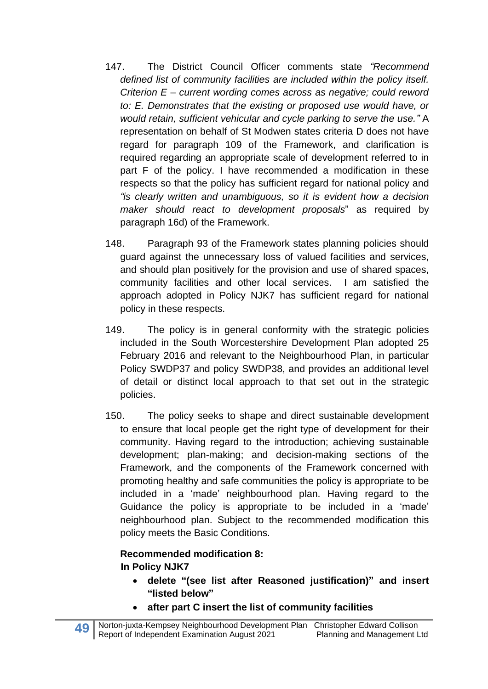- 147. The District Council Officer comments state *"Recommend defined list of community facilities are included within the policy itself. Criterion E – current wording comes across as negative; could reword to: E. Demonstrates that the existing or proposed use would have, or would retain, sufficient vehicular and cycle parking to serve the use."* A representation on behalf of St Modwen states criteria D does not have regard for paragraph 109 of the Framework, and clarification is required regarding an appropriate scale of development referred to in part F of the policy. I have recommended a modification in these respects so that the policy has sufficient regard for national policy and *"is clearly written and unambiguous, so it is evident how a decision maker should react to development proposals*" as required by paragraph 16d) of the Framework.
- 148. Paragraph 93 of the Framework states planning policies should guard against the unnecessary loss of valued facilities and services, and should plan positively for the provision and use of shared spaces, community facilities and other local services. I am satisfied the approach adopted in Policy NJK7 has sufficient regard for national policy in these respects.
- 149. The policy is in general conformity with the strategic policies included in the South Worcestershire Development Plan adopted 25 February 2016 and relevant to the Neighbourhood Plan, in particular Policy SWDP37 and policy SWDP38, and provides an additional level of detail or distinct local approach to that set out in the strategic policies.
- 150. The policy seeks to shape and direct sustainable development to ensure that local people get the right type of development for their community. Having regard to the introduction; achieving sustainable development; plan-making; and decision-making sections of the Framework, and the components of the Framework concerned with promoting healthy and safe communities the policy is appropriate to be included in a 'made' neighbourhood plan. Having regard to the Guidance the policy is appropriate to be included in a 'made' neighbourhood plan. Subject to the recommended modification this policy meets the Basic Conditions.

# **Recommended modification 8: In Policy NJK7**

- **delete "(see list after Reasoned justification)" and insert "listed below"**
- **after part C insert the list of community facilities**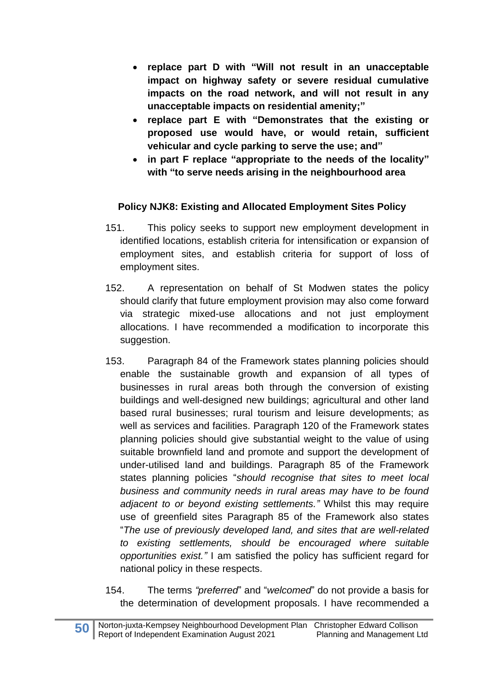- **replace part D with "Will not result in an unacceptable impact on highway safety or severe residual cumulative impacts on the road network, and will not result in any unacceptable impacts on residential amenity;"**
- **replace part E with "Demonstrates that the existing or proposed use would have, or would retain, sufficient vehicular and cycle parking to serve the use; and"**
- **in part F replace "appropriate to the needs of the locality" with "to serve needs arising in the neighbourhood area**

## **Policy NJK8: Existing and Allocated Employment Sites Policy**

- 151. This policy seeks to support new employment development in identified locations, establish criteria for intensification or expansion of employment sites, and establish criteria for support of loss of employment sites.
- 152. A representation on behalf of St Modwen states the policy should clarify that future employment provision may also come forward via strategic mixed-use allocations and not just employment allocations. I have recommended a modification to incorporate this suggestion.
- 153. Paragraph 84 of the Framework states planning policies should enable the sustainable growth and expansion of all types of businesses in rural areas both through the conversion of existing buildings and well-designed new buildings; agricultural and other land based rural businesses; rural tourism and leisure developments; as well as services and facilities. Paragraph 120 of the Framework states planning policies should give substantial weight to the value of using suitable brownfield land and promote and support the development of under-utilised land and buildings. Paragraph 85 of the Framework states planning policies "*should recognise that sites to meet local business and community needs in rural areas may have to be found adjacent to or beyond existing settlements."* Whilst this may require use of greenfield sites Paragraph 85 of the Framework also states "*The use of previously developed land, and sites that are well-related to existing settlements, should be encouraged where suitable opportunities exist."* I am satisfied the policy has sufficient regard for national policy in these respects.
- 154. The terms *"preferred*" and "*welcomed*" do not provide a basis for the determination of development proposals. I have recommended a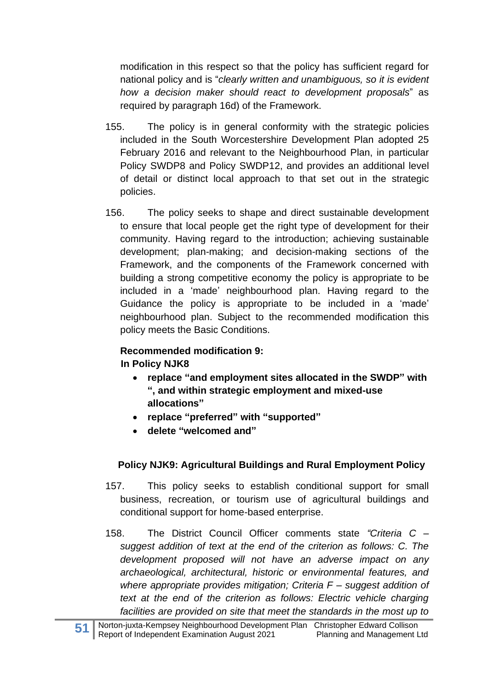modification in this respect so that the policy has sufficient regard for national policy and is "*clearly written and unambiguous, so it is evident how a decision maker should react to development proposals*" as required by paragraph 16d) of the Framework.

- 155. The policy is in general conformity with the strategic policies included in the South Worcestershire Development Plan adopted 25 February 2016 and relevant to the Neighbourhood Plan, in particular Policy SWDP8 and Policy SWDP12, and provides an additional level of detail or distinct local approach to that set out in the strategic policies.
- 156. The policy seeks to shape and direct sustainable development to ensure that local people get the right type of development for their community. Having regard to the introduction; achieving sustainable development; plan-making; and decision-making sections of the Framework, and the components of the Framework concerned with building a strong competitive economy the policy is appropriate to be included in a 'made' neighbourhood plan. Having regard to the Guidance the policy is appropriate to be included in a 'made' neighbourhood plan. Subject to the recommended modification this policy meets the Basic Conditions.

# **Recommended modification 9:**

# **In Policy NJK8**

- **replace "and employment sites allocated in the SWDP" with ", and within strategic employment and mixed-use allocations"**
- **replace "preferred" with "supported"**
- **delete "welcomed and"**

# **Policy NJK9: Agricultural Buildings and Rural Employment Policy**

- 157. This policy seeks to establish conditional support for small business, recreation, or tourism use of agricultural buildings and conditional support for home-based enterprise.
- 158. The District Council Officer comments state *"Criteria C – suggest addition of text at the end of the criterion as follows: C. The development proposed will not have an adverse impact on any archaeological, architectural, historic or environmental features, and where appropriate provides mitigation; Criteria F – suggest addition of text at the end of the criterion as follows: Electric vehicle charging facilities are provided on site that meet the standards in the most up to*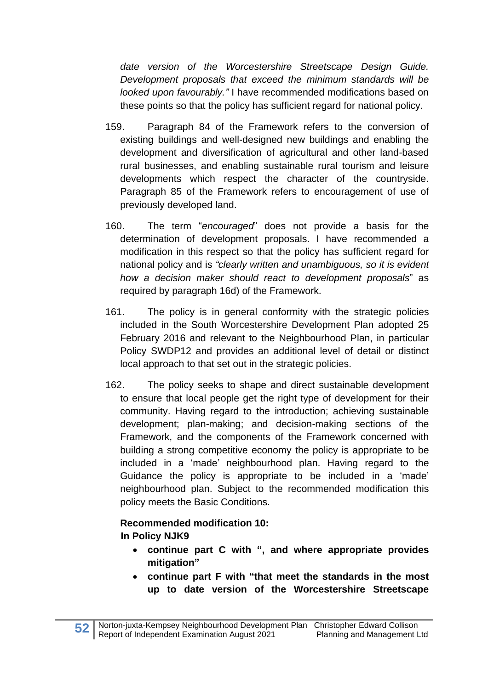*date version of the Worcestershire Streetscape Design Guide. Development proposals that exceed the minimum standards will be looked upon favourably."* I have recommended modifications based on these points so that the policy has sufficient regard for national policy.

- 159. Paragraph 84 of the Framework refers to the conversion of existing buildings and well-designed new buildings and enabling the development and diversification of agricultural and other land-based rural businesses, and enabling sustainable rural tourism and leisure developments which respect the character of the countryside. Paragraph 85 of the Framework refers to encouragement of use of previously developed land.
- 160. The term "*encouraged*" does not provide a basis for the determination of development proposals. I have recommended a modification in this respect so that the policy has sufficient regard for national policy and is *"clearly written and unambiguous, so it is evident how a decision maker should react to development proposals*" as required by paragraph 16d) of the Framework.
- 161. The policy is in general conformity with the strategic policies included in the South Worcestershire Development Plan adopted 25 February 2016 and relevant to the Neighbourhood Plan, in particular Policy SWDP12 and provides an additional level of detail or distinct local approach to that set out in the strategic policies.
- 162. The policy seeks to shape and direct sustainable development to ensure that local people get the right type of development for their community. Having regard to the introduction; achieving sustainable development; plan-making; and decision-making sections of the Framework, and the components of the Framework concerned with building a strong competitive economy the policy is appropriate to be included in a 'made' neighbourhood plan. Having regard to the Guidance the policy is appropriate to be included in a 'made' neighbourhood plan. Subject to the recommended modification this policy meets the Basic Conditions.

# **Recommended modification 10: In Policy NJK9**

- **continue part C with ", and where appropriate provides mitigation"**
- **continue part F with "that meet the standards in the most up to date version of the Worcestershire Streetscape**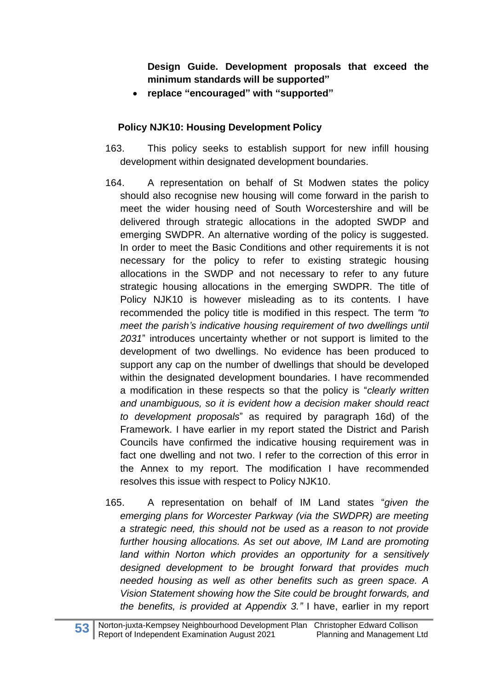**Design Guide. Development proposals that exceed the minimum standards will be supported"**

• **replace "encouraged" with "supported"**

## **Policy NJK10: Housing Development Policy**

- 163. This policy seeks to establish support for new infill housing development within designated development boundaries.
- 164. A representation on behalf of St Modwen states the policy should also recognise new housing will come forward in the parish to meet the wider housing need of South Worcestershire and will be delivered through strategic allocations in the adopted SWDP and emerging SWDPR. An alternative wording of the policy is suggested. In order to meet the Basic Conditions and other requirements it is not necessary for the policy to refer to existing strategic housing allocations in the SWDP and not necessary to refer to any future strategic housing allocations in the emerging SWDPR. The title of Policy NJK10 is however misleading as to its contents. I have recommended the policy title is modified in this respect. The term *"to meet the parish's indicative housing requirement of two dwellings until 2031*" introduces uncertainty whether or not support is limited to the development of two dwellings. No evidence has been produced to support any cap on the number of dwellings that should be developed within the designated development boundaries. I have recommended a modification in these respects so that the policy is "*clearly written and unambiguous, so it is evident how a decision maker should react to development proposals*" as required by paragraph 16d) of the Framework. I have earlier in my report stated the District and Parish Councils have confirmed the indicative housing requirement was in fact one dwelling and not two. I refer to the correction of this error in the Annex to my report. The modification I have recommended resolves this issue with respect to Policy NJK10.
- 165. A representation on behalf of IM Land states "*given the emerging plans for Worcester Parkway (via the SWDPR) are meeting a strategic need, this should not be used as a reason to not provide further housing allocations. As set out above, IM Land are promoting land within Norton which provides an opportunity for a sensitively designed development to be brought forward that provides much needed housing as well as other benefits such as green space. A Vision Statement showing how the Site could be brought forwards, and the benefits, is provided at Appendix 3."* I have, earlier in my report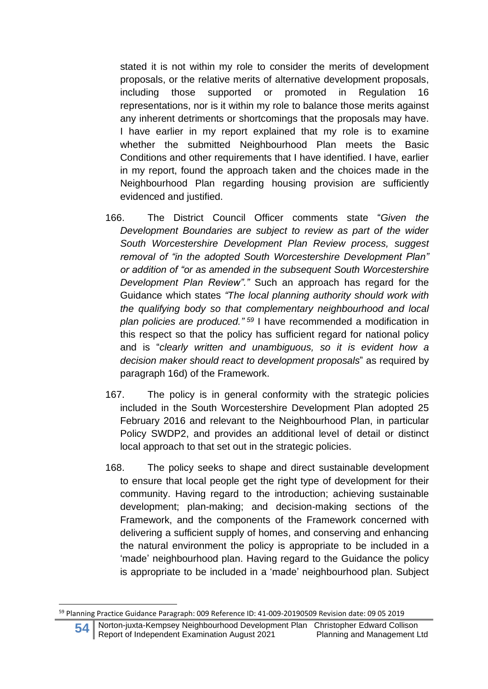stated it is not within my role to consider the merits of development proposals, or the relative merits of alternative development proposals, including those supported or promoted in Regulation 16 representations, nor is it within my role to balance those merits against any inherent detriments or shortcomings that the proposals may have. I have earlier in my report explained that my role is to examine whether the submitted Neighbourhood Plan meets the Basic Conditions and other requirements that I have identified. I have, earlier in my report, found the approach taken and the choices made in the Neighbourhood Plan regarding housing provision are sufficiently evidenced and justified.

- 166. The District Council Officer comments state "*Given the Development Boundaries are subject to review as part of the wider South Worcestershire Development Plan Review process, suggest removal of "in the adopted South Worcestershire Development Plan" or addition of "or as amended in the subsequent South Worcestershire Development Plan Review"."* Such an approach has regard for the Guidance which states *"The local planning authority should work with the qualifying body so that complementary neighbourhood and local plan policies are produced." <sup>59</sup>* I have recommended a modification in this respect so that the policy has sufficient regard for national policy and is "*clearly written and unambiguous, so it is evident how a decision maker should react to development proposals*" as required by paragraph 16d) of the Framework.
- 167. The policy is in general conformity with the strategic policies included in the South Worcestershire Development Plan adopted 25 February 2016 and relevant to the Neighbourhood Plan, in particular Policy SWDP2, and provides an additional level of detail or distinct local approach to that set out in the strategic policies.
- 168. The policy seeks to shape and direct sustainable development to ensure that local people get the right type of development for their community. Having regard to the introduction; achieving sustainable development; plan-making; and decision-making sections of the Framework, and the components of the Framework concerned with delivering a sufficient supply of homes, and conserving and enhancing the natural environment the policy is appropriate to be included in a 'made' neighbourhood plan. Having regard to the Guidance the policy is appropriate to be included in a 'made' neighbourhood plan. Subject

<sup>59</sup> Planning Practice Guidance Paragraph: 009 Reference ID: 41-009-20190509 Revision date: 09 05 2019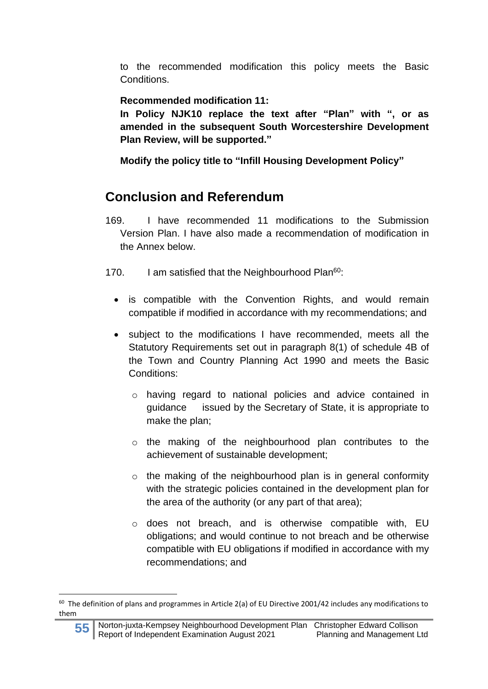to the recommended modification this policy meets the Basic **Conditions** 

**Recommended modification 11:** 

**In Policy NJK10 replace the text after "Plan" with ", or as amended in the subsequent South Worcestershire Development Plan Review, will be supported."**

**Modify the policy title to "Infill Housing Development Policy"**

# **Conclusion and Referendum**

- 169. I have recommended 11 modifications to the Submission Version Plan. I have also made a recommendation of modification in the Annex below.
- 170. I am satisfied that the Neighbourhood Plan $60$ :
	- is compatible with the Convention Rights, and would remain compatible if modified in accordance with my recommendations; and
	- subject to the modifications I have recommended, meets all the Statutory Requirements set out in paragraph 8(1) of schedule 4B of the Town and Country Planning Act 1990 and meets the Basic Conditions:
		- o having regard to national policies and advice contained in guidance issued by the Secretary of State, it is appropriate to make the plan;
		- o the making of the neighbourhood plan contributes to the achievement of sustainable development;
		- $\circ$  the making of the neighbourhood plan is in general conformity with the strategic policies contained in the development plan for the area of the authority (or any part of that area);
		- o does not breach, and is otherwise compatible with, EU obligations; and would continue to not breach and be otherwise compatible with EU obligations if modified in accordance with my recommendations; and

 $60$  The definition of plans and programmes in Article 2(a) of EU Directive 2001/42 includes any modifications to them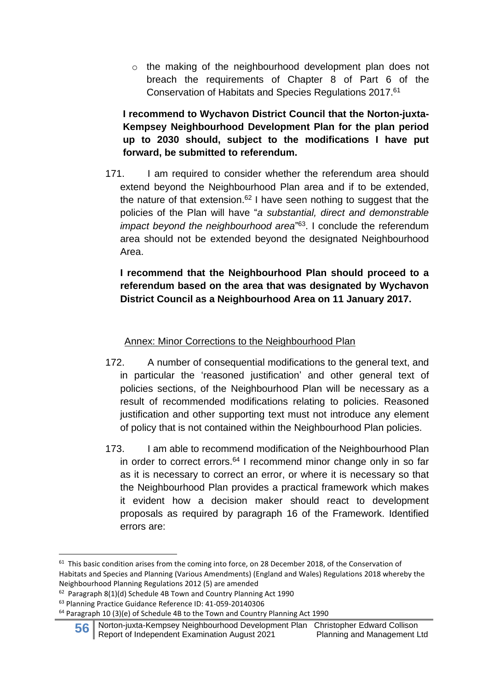o the making of the neighbourhood development plan does not breach the requirements of Chapter 8 of Part 6 of the Conservation of Habitats and Species Regulations 2017. 61

**I recommend to Wychavon District Council that the Norton-juxta-Kempsey Neighbourhood Development Plan for the plan period up to 2030 should, subject to the modifications I have put forward, be submitted to referendum.**

171. I am required to consider whether the referendum area should extend beyond the Neighbourhood Plan area and if to be extended, the nature of that extension.<sup>62</sup> I have seen nothing to suggest that the policies of the Plan will have "*a substantial, direct and demonstrable impact beyond the neighbourhood area*" <sup>63</sup>. I conclude the referendum area should not be extended beyond the designated Neighbourhood Area.

**I recommend that the Neighbourhood Plan should proceed to a referendum based on the area that was designated by Wychavon District Council as a Neighbourhood Area on 11 January 2017.**

## Annex: Minor Corrections to the Neighbourhood Plan

- 172. A number of consequential modifications to the general text, and in particular the 'reasoned justification' and other general text of policies sections, of the Neighbourhood Plan will be necessary as a result of recommended modifications relating to policies. Reasoned justification and other supporting text must not introduce any element of policy that is not contained within the Neighbourhood Plan policies.
- 173. I am able to recommend modification of the Neighbourhood Plan in order to correct errors.<sup>64</sup> I recommend minor change only in so far as it is necessary to correct an error, or where it is necessary so that the Neighbourhood Plan provides a practical framework which makes it evident how a decision maker should react to development proposals as required by paragraph 16 of the Framework. Identified errors are:

<sup>62</sup> Paragraph 8(1)(d) Schedule 4B Town and Country Planning Act 1990

 $64$  Paragraph 10 (3)(e) of Schedule 4B to the Town and Country Planning Act 1990

**56** Norton-juxta-Kempsey Neighbourhood Development Plan Christopher Edward Collison<br>Report of Independent Examination August 2021 Planning and Management Ltd Report of Independent Examination August 2021

 $61$  This basic condition arises from the coming into force, on 28 December 2018, of the Conservation of Habitats and Species and Planning (Various Amendments) (England and Wales) Regulations 2018 whereby the Neighbourhood Planning Regulations 2012 (5) are amended

<sup>63</sup> Planning Practice Guidance Reference ID: 41-059-20140306